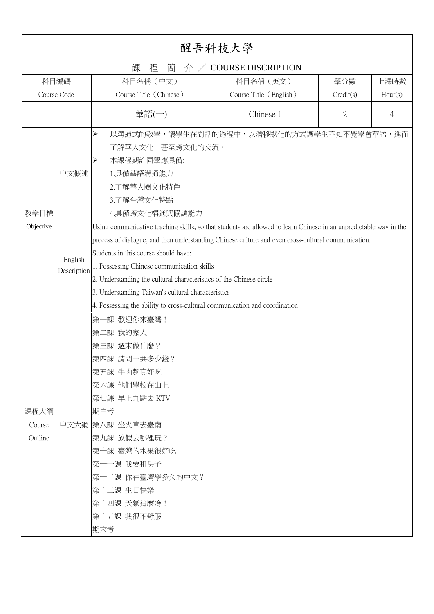|                           | 醒吾科技大學                         |                                                                                                                                                                                                                                                                                                                                                                                                                                                                                                                                                                                                                               |                                           |           |         |
|---------------------------|--------------------------------|-------------------------------------------------------------------------------------------------------------------------------------------------------------------------------------------------------------------------------------------------------------------------------------------------------------------------------------------------------------------------------------------------------------------------------------------------------------------------------------------------------------------------------------------------------------------------------------------------------------------------------|-------------------------------------------|-----------|---------|
|                           |                                | 課<br>程<br>簡<br>介                                                                                                                                                                                                                                                                                                                                                                                                                                                                                                                                                                                                              | <b>COURSE DISCRIPTION</b>                 |           |         |
| 科目編碼                      |                                | 科目名稱 (中文)                                                                                                                                                                                                                                                                                                                                                                                                                                                                                                                                                                                                                     | 科目名稱 (英文)                                 | 學分數       | 上課時數    |
| Course Code               |                                | Course Title (Chinese)                                                                                                                                                                                                                                                                                                                                                                                                                                                                                                                                                                                                        | Course Title (English)                    | Credit(s) | Hour(s) |
|                           |                                | 華語(一)                                                                                                                                                                                                                                                                                                                                                                                                                                                                                                                                                                                                                         | Chinese I                                 | 2         | 4       |
| 教學目標<br>Objective         | 中文概述<br>English<br>Description | ⋗<br>了解華人文化,甚至跨文化的交流。<br>本課程期許同學應具備:<br>1.具備華語溝通能力<br>2.了解華人圈文化特色<br>3.了解台灣文化特點<br>4.具備跨文化構通與協調能力<br>Using communicative teaching skills, so that students are allowed to learn Chinese in an unpredictable way in the<br>process of dialogue, and then understanding Chinese culture and even cross-cultural communication.<br>Students in this course should have:<br>1. Possessing Chinese communication skills<br>2. Understanding the cultural characteristics of the Chinese circle<br>3. Understanding Taiwan's cultural characteristics<br>4. Possessing the ability to cross-cultural communication and coordination | 以溝通式的教學,讓學生在對話的過程中,以潛移默化的方式讓學生不知不覺學會華語,進而 |           |         |
| 課程大綱<br>Course<br>Outline |                                | -課 歡迎你來臺灣!<br>第一<br>第二課 我的家人<br>第三課 週末做什麼?<br>第四課 請問一共多少錢?<br>第五課 牛肉麵真好吃<br>第六課 他們學校在山上<br>第七課 早上九點去 KTV<br>期中考<br>中文大綱  第八課 坐火車去臺南<br> 第九課 放假去哪裡玩?<br>第十課 臺灣的水果很好吃<br>第十一課 我要租房子<br>第十二課 你在臺灣學多久的中文?<br>第十三課 生日快樂<br>第十四課 天氣這麼冷!<br>第十五課 我很不舒服<br>期末考                                                                                                                                                                                                                                                                                                                                                                        |                                           |           |         |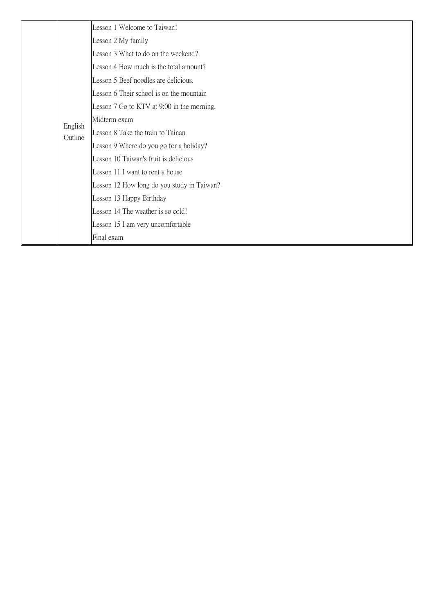|  |                    | Lesson 1 Welcome to Taiwan!                |
|--|--------------------|--------------------------------------------|
|  |                    | Lesson 2 My family                         |
|  |                    | Lesson 3 What to do on the weekend?        |
|  |                    | Lesson 4 How much is the total amount?     |
|  |                    | Lesson 5 Beef noodles are delicious.       |
|  |                    | Lesson 6 Their school is on the mountain   |
|  |                    | Lesson 7 Go to KTV at 9:00 in the morning. |
|  | English<br>Outline | Midterm exam                               |
|  |                    | Lesson 8 Take the train to Tainan          |
|  |                    | Lesson 9 Where do you go for a holiday?    |
|  |                    | Lesson 10 Taiwan's fruit is delicious      |
|  |                    | Lesson 11 I want to rent a house           |
|  |                    | Lesson 12 How long do you study in Taiwan? |
|  |                    | Lesson 13 Happy Birthday                   |
|  |                    | Lesson 14 The weather is so cold!          |
|  |                    | Lesson 15 I am very uncomfortable          |
|  |                    | Final exam                                 |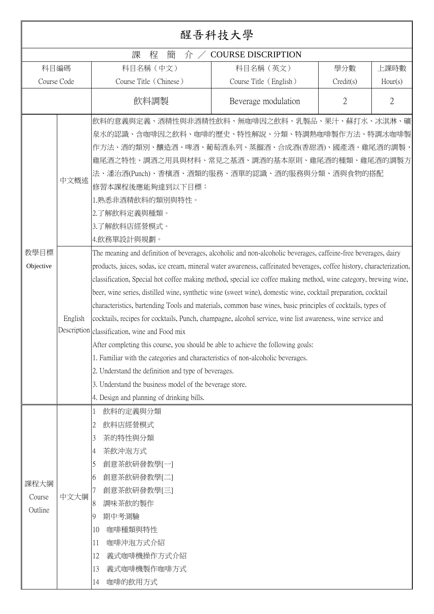|                           |                 |                                                                                                                                                                                                                                                                                                                                                                                                                                                                                                                                                                                                                                                                                                                                                                                                                                                                                                                                                                                                                                                                                                                                                                                                                                                                                                                                                                                                                                           | 醒吾科技大學                    |           |                |
|---------------------------|-----------------|-------------------------------------------------------------------------------------------------------------------------------------------------------------------------------------------------------------------------------------------------------------------------------------------------------------------------------------------------------------------------------------------------------------------------------------------------------------------------------------------------------------------------------------------------------------------------------------------------------------------------------------------------------------------------------------------------------------------------------------------------------------------------------------------------------------------------------------------------------------------------------------------------------------------------------------------------------------------------------------------------------------------------------------------------------------------------------------------------------------------------------------------------------------------------------------------------------------------------------------------------------------------------------------------------------------------------------------------------------------------------------------------------------------------------------------------|---------------------------|-----------|----------------|
|                           |                 | 課<br>程<br>簡<br>介/                                                                                                                                                                                                                                                                                                                                                                                                                                                                                                                                                                                                                                                                                                                                                                                                                                                                                                                                                                                                                                                                                                                                                                                                                                                                                                                                                                                                                         | <b>COURSE DISCRIPTION</b> |           |                |
|                           | 科目編碼            | 科目名稱 (中文)                                                                                                                                                                                                                                                                                                                                                                                                                                                                                                                                                                                                                                                                                                                                                                                                                                                                                                                                                                                                                                                                                                                                                                                                                                                                                                                                                                                                                                 | 科目名稱 (英文)                 | 學分數       | 上課時數           |
|                           | Course Code     | Course Title (Chinese)                                                                                                                                                                                                                                                                                                                                                                                                                                                                                                                                                                                                                                                                                                                                                                                                                                                                                                                                                                                                                                                                                                                                                                                                                                                                                                                                                                                                                    | Course Title (English)    | Credit(s) | Hour(s)        |
|                           |                 | 飲料調製                                                                                                                                                                                                                                                                                                                                                                                                                                                                                                                                                                                                                                                                                                                                                                                                                                                                                                                                                                                                                                                                                                                                                                                                                                                                                                                                                                                                                                      | Beverage modulation       | 2         | $\overline{2}$ |
| 教學目標<br>Objective         | 中文概述<br>English | 飲料的意義與定義、酒精性與非酒精性飲料、無咖啡因之飲料、乳製品、果汁、蘇打水、冰淇淋、礦<br>泉水的認識、含咖啡因之飲料、咖啡的歷史、特性解說、分類、特調熱咖啡製作方法、特調冰咖啡製<br>作方法、酒的類別、釀造酒、啤酒、葡萄酒系列、蒸餾酒、合成酒(香甜酒)、國產酒、雞尾酒的調製、<br>雞尾酒之特性、調酒之用具與材料、常見之基酒、調酒的基本原則、雞尾酒的種類、雞尾酒的調製方<br>法、潘治酒(Punch)、香檳酒、酒類的服務、酒單的認識、酒的服務與分類、酒與食物的搭配<br>修習本課程後應能夠達到以下目標:<br>1.熟悉非酒精飲料的類別與特性。<br>2.了解飲料定義與種類。<br>3.了解飲料店經營模式。<br>4.飲務單設計與規劃。<br>The meaning and definition of beverages, alcoholic and non-alcoholic beverages, caffeine-free beverages, dairy<br>products, juices, sodas, ice cream, mineral water awareness, caffeinated beverages, coffee history, characterization,<br>classification, Special hot coffee making method, special ice coffee making method, wine category, brewing wine,<br>beer, wine series, distilled wine, synthetic wine (sweet wine), domestic wine, cocktail preparation, cocktail<br>characteristics, bartending Tools and materials, common base wines, basic principles of cocktails, types of<br>cocktails, recipes for cocktails, Punch, champagne, alcohol service, wine list awareness, wine service and<br>Description classification, wine and Food mix<br>After completing this course, you should be able to achieve the following goals:<br>1. Familiar with the categories and characteristics of non-alcoholic beverages.<br>2. Understand the definition and type of beverages.<br>3. Understand the business model of the beverage store.<br>4. Design and planning of drinking bills. |                           |           |                |
| 課程大綱<br>Course<br>Outline | 中文大綱            | 飲料的定義與分類<br>$\perp$<br>飲料店經營模式<br>2<br>茶的特性與分類<br>3<br>茶飲沖泡方式<br>4<br>創意茶飲研發教學[一]<br>5<br>創意茶飲研發教學[二]<br>6<br>創意茶飲研發教學[三]<br>調味茶飲的製作<br>8<br>期中考測驗<br>9<br>咖啡種類與特性<br>10<br>咖啡沖泡方式介紹<br>11<br>義式咖啡機操作方式介紹<br>12<br>義式咖啡機製作咖啡方式<br>13<br>咖啡的飲用方式<br>14                                                                                                                                                                                                                                                                                                                                                                                                                                                                                                                                                                                                                                                                                                                                                                                                                                                                                                                                                                                                                                                                                                                                                                                     |                           |           |                |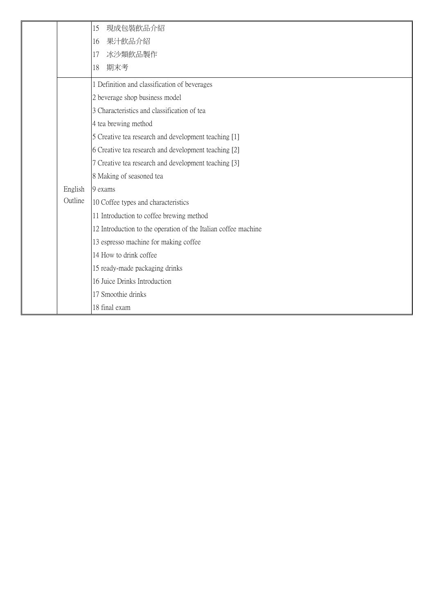|         | 現成包裝飲品介紹<br>15                                                 |
|---------|----------------------------------------------------------------|
|         | 果汁飲品介紹<br>16                                                   |
|         | 冰沙類飲品製作<br>17                                                  |
|         | 期末考<br>18                                                      |
|         | 1 Definition and classification of beverages                   |
|         | 2 beverage shop business model                                 |
|         | 3 Characteristics and classification of tea                    |
|         | 4 tea brewing method                                           |
|         | 5 Creative tea research and development teaching [1]           |
|         | 6 Creative tea research and development teaching [2]           |
|         | 7 Creative tea research and development teaching [3]           |
|         | 8 Making of seasoned tea                                       |
| English | 9 exams                                                        |
| Outline | 10 Coffee types and characteristics                            |
|         | 11 Introduction to coffee brewing method                       |
|         | 12 Introduction to the operation of the Italian coffee machine |
|         | 13 espresso machine for making coffee                          |
|         | 14 How to drink coffee                                         |
|         | 15 ready-made packaging drinks                                 |
|         | 16 Juice Drinks Introduction                                   |
|         | 17 Smoothie drinks                                             |
|         | 18 final exam                                                  |
|         |                                                                |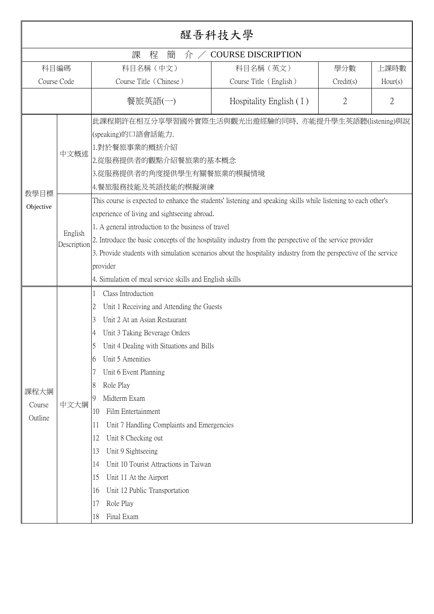|             | 醒吾科技大學                 |                                                                                                                  |                           |                |                |
|-------------|------------------------|------------------------------------------------------------------------------------------------------------------|---------------------------|----------------|----------------|
|             |                        | 課<br>程<br>簡<br>介                                                                                                 | <b>COURSE DISCRIPTION</b> |                |                |
| 科目編碼        |                        | 科目名稱 (中文)                                                                                                        | 科目名稱 (英文)                 | 學分數            | 上課時數           |
| Course Code |                        | Course Title (Chinese)                                                                                           | Course Title (English)    | Credit(s)      | Hour(s)        |
|             |                        | 餐旅英語(一)                                                                                                          | Hospitality English $(1)$ | $\mathfrak{2}$ | $\mathfrak{2}$ |
|             |                        | 此課程期許在相互分享學習國外實際生活與觀光出遊經驗的同時,亦能提升學生英語聽(listening)與說<br>(speaking)的口語會話能力.                                        |                           |                |                |
|             |                        | 1.對於餐旅事業的概括介紹                                                                                                    |                           |                |                |
|             | 中文概述                   | 2.從服務提供者的觀點介紹餐旅業的基本概念                                                                                            |                           |                |                |
|             |                        | 3.從服務提供者的角度提供學生有關餐旅業的模擬情境                                                                                        |                           |                |                |
|             |                        | 4.餐旅服務技能及英語技能的模擬演練                                                                                               |                           |                |                |
| 教學目標        |                        | This course is expected to enhance the students' listening and speaking skills while listening to each other's   |                           |                |                |
| Objective   | English<br>Description | experience of living and sightseeing abroad.                                                                     |                           |                |                |
|             |                        | 1. A general introduction to the business of travel                                                              |                           |                |                |
|             |                        | 2. Introduce the basic concepts of the hospitality industry from the perspective of the service provider         |                           |                |                |
|             |                        | 3. Provide students with simulation scenarios about the hospitality industry from the perspective of the service |                           |                |                |
|             |                        | provider                                                                                                         |                           |                |                |
|             |                        | 4. Simulation of meal service skills and English skills                                                          |                           |                |                |
|             |                        | Class Introduction                                                                                               |                           |                |                |
|             |                        | Unit 1 Receiving and Attending the Guests<br>2                                                                   |                           |                |                |
|             |                        | Unit 2 At an Asian Restaurant<br>3                                                                               |                           |                |                |
|             |                        | Unit 3 Taking Beverage Orders<br>4                                                                               |                           |                |                |
|             |                        | Unit 4 Dealing with Situations and Bills                                                                         |                           |                |                |
|             |                        | Unit 5 Amenities<br>6                                                                                            |                           |                |                |
|             |                        | Unit 6 Event Planning                                                                                            |                           |                |                |
| 課程大綱        |                        | Role Play<br>8                                                                                                   |                           |                |                |
| Course      | 中文大綱                   | Midterm Exam<br>9.                                                                                               |                           |                |                |
| Outline     |                        | Film Entertainment<br>10                                                                                         |                           |                |                |
|             |                        | Unit 7 Handling Complaints and Emergencies<br>11                                                                 |                           |                |                |
|             |                        | Unit 8 Checking out<br>12                                                                                        |                           |                |                |
|             |                        | Unit 9 Sightseeing<br>13                                                                                         |                           |                |                |
|             |                        | Unit 10 Tourist Attractions in Taiwan<br>14                                                                      |                           |                |                |
|             |                        | Unit 11 At the Airport<br>15                                                                                     |                           |                |                |
|             |                        | Unit 12 Public Transportation<br>16                                                                              |                           |                |                |
|             |                        | Role Play<br>17                                                                                                  |                           |                |                |
|             |                        | Final Exam<br>18                                                                                                 |                           |                |                |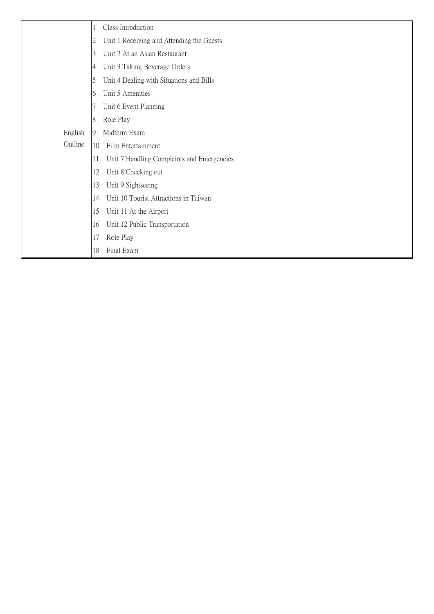|         | Class Introduction                               |
|---------|--------------------------------------------------|
|         | Unit 1 Receiving and Attending the Guests<br>2   |
|         | Unit 2 At an Asian Restaurant<br>3               |
|         | Unit 3 Taking Beverage Orders<br>4               |
|         | Unit 4 Dealing with Situations and Bills<br>5    |
|         | Unit 5 Amenities<br>6                            |
|         | Unit 6 Event Planning                            |
|         | Role Play<br>8                                   |
| English | Midterm Exam<br>9                                |
| Outline | 10<br>Film Entertainment                         |
|         | 11<br>Unit 7 Handling Complaints and Emergencies |
|         | 12<br>Unit 8 Checking out                        |
|         | 13<br>Unit 9 Sightseeing                         |
|         | Unit 10 Tourist Attractions in Taiwan<br>14      |
|         | 15<br>Unit 11 At the Airport                     |
|         | Unit 12 Public Transportation<br>16              |
|         | 17<br>Role Play                                  |
|         | Final Exam<br>18                                 |
|         |                                                  |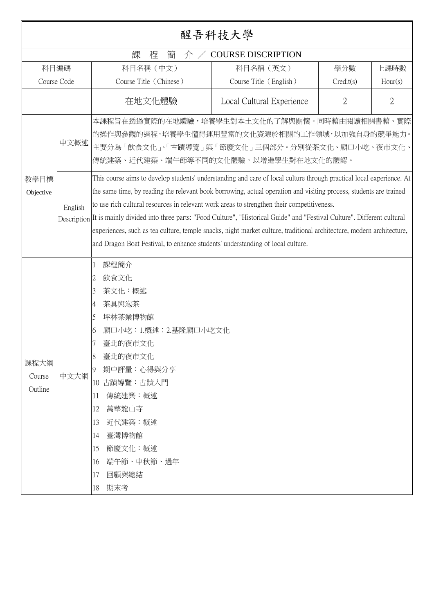|                           | 醒吾科技大學          |                                                                                                                                                                                                                                                                                                                                                                                                                                                                                                                                                                                                                                                                                                                                                                                                                                                                                    |                           |                |                |
|---------------------------|-----------------|------------------------------------------------------------------------------------------------------------------------------------------------------------------------------------------------------------------------------------------------------------------------------------------------------------------------------------------------------------------------------------------------------------------------------------------------------------------------------------------------------------------------------------------------------------------------------------------------------------------------------------------------------------------------------------------------------------------------------------------------------------------------------------------------------------------------------------------------------------------------------------|---------------------------|----------------|----------------|
|                           |                 | 課<br>程<br>簡<br>介                                                                                                                                                                                                                                                                                                                                                                                                                                                                                                                                                                                                                                                                                                                                                                                                                                                                   | <b>COURSE DISCRIPTION</b> |                |                |
| 科目編碼                      |                 | 科目名稱 (中文)                                                                                                                                                                                                                                                                                                                                                                                                                                                                                                                                                                                                                                                                                                                                                                                                                                                                          | 科目名稱 (英文)                 | 學分數            | 上課時數           |
| Course Code               |                 | Course Title (Chinese)                                                                                                                                                                                                                                                                                                                                                                                                                                                                                                                                                                                                                                                                                                                                                                                                                                                             | Course Title (English)    | Credit(s)      | Hour(s)        |
|                           |                 | 在地文化體驗                                                                                                                                                                                                                                                                                                                                                                                                                                                                                                                                                                                                                                                                                                                                                                                                                                                                             | Local Cultural Experience | $\mathfrak{2}$ | $\overline{2}$ |
| 教學目標<br>Objective         | 中文概述<br>English | 本課程旨在透過實際的在地體驗,培養學生對本土文化的了解與關懷。同時藉由閱讀相關書藉、實際<br>的操作與參觀的過程,培養學生懂得運用豐富的文化資源於相關的工作領域,以加強自身的競爭能力。<br>主要分為「飲食文化」、「古蹟導覽」與「節慶文化」三個部分。分別從茶文化、廟口小吃、夜市文化、<br>傳統建築、近代建築、端午節等不同的文化體驗,以增進學生對在地文化的體認。<br>This course aims to develop students' understanding and care of local culture through practical local experience. At<br>the same time, by reading the relevant book borrowing, actual operation and visiting process, students are trained<br>to use rich cultural resources in relevant work areas to strengthen their competitiveness.<br>Description It is mainly divided into three parts: "Food Culture", "Historical Guide" and "Festival Culture". Different cultural<br>experiences, such as tea culture, temple snacks, night market culture, traditional architecture, modern architecture,<br>and Dragon Boat Festival, to enhance students' understanding of local culture. |                           |                |                |
| 課程大綱<br>Course<br>Outline | 中文大綱            | 課程簡介<br>飲食文化<br>2<br>茶文化:概述<br>3<br>茶具與泡茶<br>4<br>坪林茶業博物館<br>5<br>廟口小吃:1.概述;2.基隆廟口小吃文化<br>6<br>臺北的夜市文化<br>7<br>臺北的夜市文化<br>期中評量:心得與分享<br>9<br>10 古蹟導覽:古蹟入門<br>傳統建築:概述<br>11<br>12<br>萬華龍山寺<br>13<br>近代建築:概述<br>14<br>臺灣博物館<br>15<br>節慶文化:概述<br>端午節、中秋節、過年<br>16<br>17<br>回顧與總結<br>期末考<br>18                                                                                                                                                                                                                                                                                                                                                                                                                                                                                                                                                                                         |                           |                |                |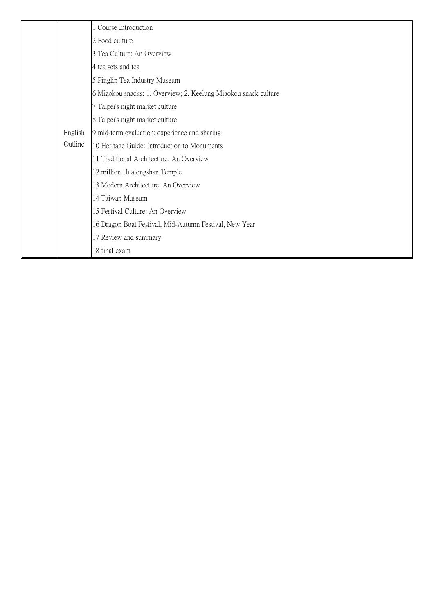|  |                    | 1 Course Introduction                                           |
|--|--------------------|-----------------------------------------------------------------|
|  |                    | 2 Food culture                                                  |
|  |                    | 3 Tea Culture: An Overview                                      |
|  |                    | 4 tea sets and tea                                              |
|  |                    | 5 Pinglin Tea Industry Museum                                   |
|  |                    | 6 Miaokou snacks: 1. Overview; 2. Keelung Miaokou snack culture |
|  |                    | 7 Taipei's night market culture                                 |
|  |                    | 8 Taipei's night market culture                                 |
|  | English<br>Outline | 9 mid-term evaluation: experience and sharing                   |
|  |                    | 10 Heritage Guide: Introduction to Monuments                    |
|  |                    | 11 Traditional Architecture: An Overview                        |
|  |                    | 12 million Hualongshan Temple                                   |
|  |                    | 13 Modern Architecture: An Overview                             |
|  |                    | 14 Taiwan Museum                                                |
|  |                    | 15 Festival Culture: An Overview                                |
|  |                    | 16 Dragon Boat Festival, Mid-Autumn Festival, New Year          |
|  |                    | 17 Review and summary                                           |
|  |                    | 18 final exam                                                   |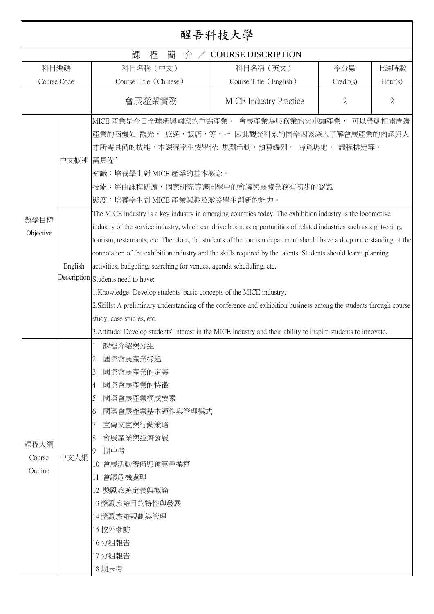|                           | 醒吾科技大學          |                                                                                                                                                                                                                                                                                                                                                                                                                                                                                                                                                                                                                                                                                                                                                                                                                                                                                                                                                                                                                                                                                                                                                                                                   |                               |                |                |
|---------------------------|-----------------|---------------------------------------------------------------------------------------------------------------------------------------------------------------------------------------------------------------------------------------------------------------------------------------------------------------------------------------------------------------------------------------------------------------------------------------------------------------------------------------------------------------------------------------------------------------------------------------------------------------------------------------------------------------------------------------------------------------------------------------------------------------------------------------------------------------------------------------------------------------------------------------------------------------------------------------------------------------------------------------------------------------------------------------------------------------------------------------------------------------------------------------------------------------------------------------------------|-------------------------------|----------------|----------------|
|                           |                 | 課<br>程<br>簡<br>介                                                                                                                                                                                                                                                                                                                                                                                                                                                                                                                                                                                                                                                                                                                                                                                                                                                                                                                                                                                                                                                                                                                                                                                  | <b>COURSE DISCRIPTION</b>     |                |                |
| 科目編碼                      |                 | 科目名稱 (中文)                                                                                                                                                                                                                                                                                                                                                                                                                                                                                                                                                                                                                                                                                                                                                                                                                                                                                                                                                                                                                                                                                                                                                                                         | 科目名稱 (英文)                     | 學分數            | 上課時數           |
| Course Code               |                 | Course Title (Chinese)                                                                                                                                                                                                                                                                                                                                                                                                                                                                                                                                                                                                                                                                                                                                                                                                                                                                                                                                                                                                                                                                                                                                                                            | Course Title (English)        | Credit(s)      | Hour(s)        |
|                           |                 | 會展產業實務                                                                                                                                                                                                                                                                                                                                                                                                                                                                                                                                                                                                                                                                                                                                                                                                                                                                                                                                                                                                                                                                                                                                                                                            | <b>MICE</b> Industry Practice | $\overline{2}$ | $\overline{2}$ |
| 教學目標<br>Objective         | 中文概述<br>English | MICE 產業是今日全球新興國家的重點產業。 會展產業為服務業的火車頭產業, 可以帶動相關周邊<br>産業的商機如 觀光, 旅遊,飯店,等,ー 因此觀光科系的同學因該深入了解會展產業的內涵與人<br>才所需具備的技能,本課程學生要學習: 規劃活動,預算編列, 尋覓場地, 議程排定等。<br>需具備"<br>知識:培養學生對 MICE 產業的基本概念。<br>技能:經由課程研讀,個案研究等讓同學中的會議與展覽業務有初步的認識<br>態度:培養學生對 MICE 產業興趣及激發學生創新的能力。<br>The MICE industry is a key industry in emerging countries today. The exhibition industry is the locomotive<br>industry of the service industry, which can drive business opportunities of related industries such as sightseeing,<br>tourism, restaurants, etc. Therefore, the students of the tourism department should have a deep understanding of the<br>connotation of the exhibition industry and the skills required by the talents. Students should learn: planning<br>activities, budgeting, searching for venues, agenda scheduling, etc.<br>Description Students need to have:<br>1. Knowledge: Develop students' basic concepts of the MICE industry.<br>2. Skills: A preliminary understanding of the conference and exhibition business among the students through course<br>study, case studies, etc.<br>3. Attitude: Develop students' interest in the MICE industry and their ability to inspire students to innovate. |                               |                |                |
| 課程大綱<br>Course<br>Outline | 中文大綱            | 課程介紹與分組<br>國際會展產業緣起<br>2<br>國際會展產業的定義<br>3<br>國際會展產業的特徵<br>4<br>國際會展產業構成要素<br>5<br>國際會展產業基本運作與管理模式<br>6<br>宣傳文宣與行銷策略<br>會展產業與經濟發展<br>8<br>期中考<br>9<br>10 會展活動籌備與預算書撰寫<br>11 會議危機處理<br>12 獎勵旅遊定義與概論<br>13 獎勵旅遊目的特性與發展<br>14 獎勵旅遊規劃與管理<br>15 校外参訪<br>16 分組報告<br>17 分組報告<br>18 期末考                                                                                                                                                                                                                                                                                                                                                                                                                                                                                                                                                                                                                                                                                                                                                                                                                                                                                                                   |                               |                |                |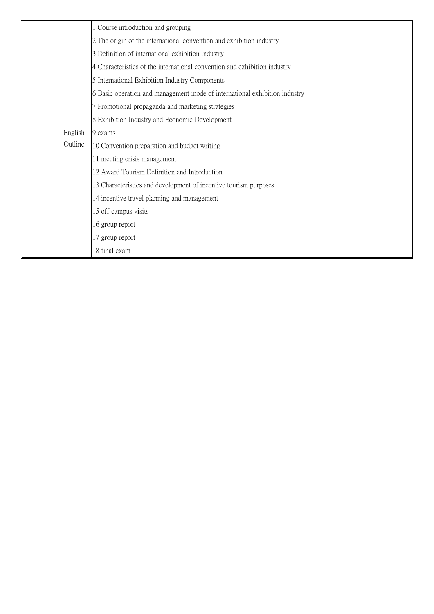| Course introduction and grouping<br>2 The origin of the international convention and exhibition industry<br>3 Definition of international exhibition industry<br>4 Characteristics of the international convention and exhibition industry<br>5 International Exhibition Industry Components<br>6 Basic operation and management mode of international exhibition industry<br>7 Promotional propaganda and marketing strategies<br>8 Exhibition Industry and Economic Development<br>English<br>9 exams<br>Outline<br>10 Convention preparation and budget writing<br>11 meeting crisis management<br>12 Award Tourism Definition and Introduction<br>13 Characteristics and development of incentive tourism purposes<br>14 incentive travel planning and management<br>15 off-campus visits<br>16 group report<br>17 group report |  |  |
|-------------------------------------------------------------------------------------------------------------------------------------------------------------------------------------------------------------------------------------------------------------------------------------------------------------------------------------------------------------------------------------------------------------------------------------------------------------------------------------------------------------------------------------------------------------------------------------------------------------------------------------------------------------------------------------------------------------------------------------------------------------------------------------------------------------------------------------|--|--|
|                                                                                                                                                                                                                                                                                                                                                                                                                                                                                                                                                                                                                                                                                                                                                                                                                                     |  |  |
|                                                                                                                                                                                                                                                                                                                                                                                                                                                                                                                                                                                                                                                                                                                                                                                                                                     |  |  |
|                                                                                                                                                                                                                                                                                                                                                                                                                                                                                                                                                                                                                                                                                                                                                                                                                                     |  |  |
|                                                                                                                                                                                                                                                                                                                                                                                                                                                                                                                                                                                                                                                                                                                                                                                                                                     |  |  |
|                                                                                                                                                                                                                                                                                                                                                                                                                                                                                                                                                                                                                                                                                                                                                                                                                                     |  |  |
|                                                                                                                                                                                                                                                                                                                                                                                                                                                                                                                                                                                                                                                                                                                                                                                                                                     |  |  |
|                                                                                                                                                                                                                                                                                                                                                                                                                                                                                                                                                                                                                                                                                                                                                                                                                                     |  |  |
|                                                                                                                                                                                                                                                                                                                                                                                                                                                                                                                                                                                                                                                                                                                                                                                                                                     |  |  |
|                                                                                                                                                                                                                                                                                                                                                                                                                                                                                                                                                                                                                                                                                                                                                                                                                                     |  |  |
|                                                                                                                                                                                                                                                                                                                                                                                                                                                                                                                                                                                                                                                                                                                                                                                                                                     |  |  |
|                                                                                                                                                                                                                                                                                                                                                                                                                                                                                                                                                                                                                                                                                                                                                                                                                                     |  |  |
|                                                                                                                                                                                                                                                                                                                                                                                                                                                                                                                                                                                                                                                                                                                                                                                                                                     |  |  |
|                                                                                                                                                                                                                                                                                                                                                                                                                                                                                                                                                                                                                                                                                                                                                                                                                                     |  |  |
|                                                                                                                                                                                                                                                                                                                                                                                                                                                                                                                                                                                                                                                                                                                                                                                                                                     |  |  |
|                                                                                                                                                                                                                                                                                                                                                                                                                                                                                                                                                                                                                                                                                                                                                                                                                                     |  |  |
|                                                                                                                                                                                                                                                                                                                                                                                                                                                                                                                                                                                                                                                                                                                                                                                                                                     |  |  |
|                                                                                                                                                                                                                                                                                                                                                                                                                                                                                                                                                                                                                                                                                                                                                                                                                                     |  |  |
| 18 final exam                                                                                                                                                                                                                                                                                                                                                                                                                                                                                                                                                                                                                                                                                                                                                                                                                       |  |  |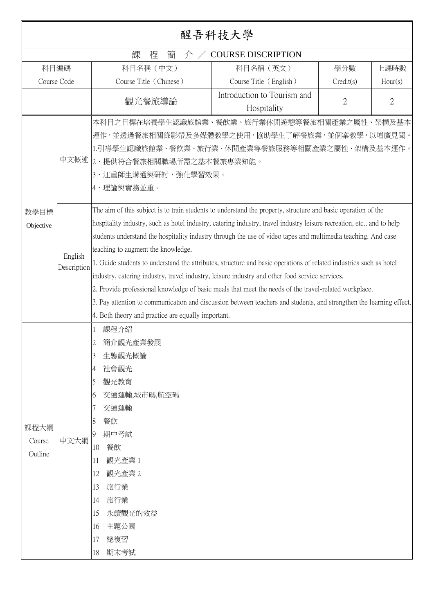|                           | 醒吾科技大學                                        |                                                                                                                                                                                                                                                                                                                                                                                                                                                                                                                                                                                                                                                                    |                                            |           |                |
|---------------------------|-----------------------------------------------|--------------------------------------------------------------------------------------------------------------------------------------------------------------------------------------------------------------------------------------------------------------------------------------------------------------------------------------------------------------------------------------------------------------------------------------------------------------------------------------------------------------------------------------------------------------------------------------------------------------------------------------------------------------------|--------------------------------------------|-----------|----------------|
|                           | <b>COURSE DISCRIPTION</b><br>課<br>簡<br>程<br>介 |                                                                                                                                                                                                                                                                                                                                                                                                                                                                                                                                                                                                                                                                    |                                            |           |                |
| 科目編碼                      |                                               | 科目名稱 (中文)                                                                                                                                                                                                                                                                                                                                                                                                                                                                                                                                                                                                                                                          | 科目名稱 (英文)                                  | 學分數       | 上課時數           |
| Course Code               |                                               | Course Title (Chinese)                                                                                                                                                                                                                                                                                                                                                                                                                                                                                                                                                                                                                                             | Course Title (English)                     | Credit(s) | Hour(s)        |
|                           |                                               | 觀光餐旅導論                                                                                                                                                                                                                                                                                                                                                                                                                                                                                                                                                                                                                                                             | Introduction to Tourism and<br>Hospitality | 2         | $\overline{2}$ |
| 教學目標                      | 中文概述                                          | 本科目之目標在培養學生認識旅館業、餐飲業、旅行業休閒遊憩等餐旅相關產業之屬性、架構及基本<br>運作,並透過餐旅相關錄影帶及多媒體教學之使用,協助學生了解餐旅業,並個案教學,以增廣見聞。<br>1.引導學生認識旅館業、餐飲業、旅行業、休閒產業等餐旅服務等相關產業之屬性、架構及基本運作。<br>2、提供符合餐旅相關職場所需之基本餐旅專業知能。<br>3、注重師生溝通與研討,強化學習效果。<br>4、理論與實務並重。<br>The aim of this subject is to train students to understand the property, structure and basic operation of the<br>hospitality industry, such as hotel industry, catering industry, travel industry leisure recreation, etc., and to help                                                                                                                                                                                                        |                                            |           |                |
| Objective                 | English<br>Description                        | students understand the hospitality industry through the use of video tapes and multimedia teaching. And case<br>teaching to augment the knowledge.<br>1. Guide students to understand the attributes, structure and basic operations of related industries such as hotel<br>industry, catering industry, travel industry, leisure industry and other food service services.<br>2. Provide professional knowledge of basic meals that meet the needs of the travel-related workplace.<br>3. Pay attention to communication and discussion between teachers and students, and strengthen the learning effect.<br>4. Both theory and practice are equally important. |                                            |           |                |
| 課程大綱<br>Course<br>Outline | 中文大綱                                          | 課程介紹<br>簡介觀光產業發展<br>2<br>生態觀光概論<br>3<br>社會觀光<br>4<br>觀光教育<br>5<br>交通運輸,城市碼,航空碼<br>6<br>交通運輸<br>餐飲<br>8<br>期中考試<br>9<br>餐飲<br>10<br>觀光產業1<br>11<br>觀光產業2<br>12<br>旅行業<br>13<br>旅行業<br>14<br>永續觀光的效益<br>15<br>主題公園<br>16<br>總複習<br>17<br>期末考試<br>18                                                                                                                                                                                                                                                                                                                                                                                                                  |                                            |           |                |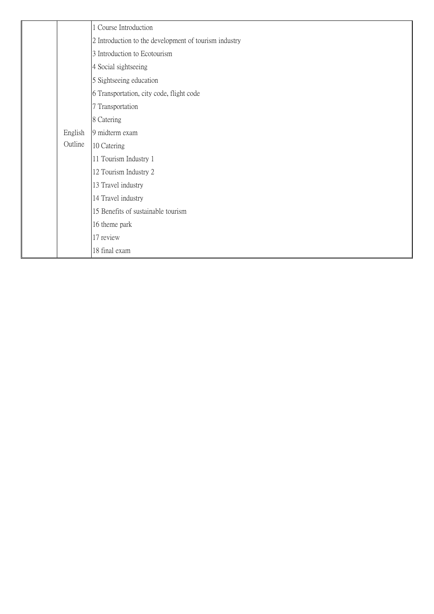|  |         | 1 Course Introduction                                 |
|--|---------|-------------------------------------------------------|
|  |         | 2 Introduction to the development of tourism industry |
|  |         | 3 Introduction to Ecotourism                          |
|  |         | 4 Social sightseeing                                  |
|  |         | 5 Sightseeing education                               |
|  |         | 6 Transportation, city code, flight code              |
|  |         | 7 Transportation                                      |
|  |         | 8 Catering                                            |
|  | English | 9 midterm exam                                        |
|  | Outline | 10 Catering                                           |
|  |         | 11 Tourism Industry 1                                 |
|  |         | 12 Tourism Industry 2                                 |
|  |         | 13 Travel industry                                    |
|  |         | 14 Travel industry                                    |
|  |         | 15 Benefits of sustainable tourism                    |
|  |         | 16 theme park                                         |
|  |         | 17 review                                             |
|  |         | 18 final exam                                         |
|  |         |                                                       |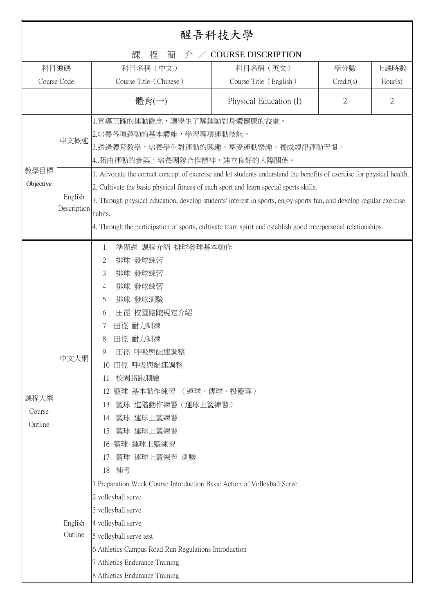| 醒吾科技大學                    |                                |                                                                                                                                                                                                                                                                                                                                                                                                                                                                                                                                                                                                        |                           |                |                |
|---------------------------|--------------------------------|--------------------------------------------------------------------------------------------------------------------------------------------------------------------------------------------------------------------------------------------------------------------------------------------------------------------------------------------------------------------------------------------------------------------------------------------------------------------------------------------------------------------------------------------------------------------------------------------------------|---------------------------|----------------|----------------|
|                           |                                | 課<br>程<br>簡<br>介/                                                                                                                                                                                                                                                                                                                                                                                                                                                                                                                                                                                      | <b>COURSE DISCRIPTION</b> |                |                |
|                           | 科目編碼                           | 科目名稱 (中文)                                                                                                                                                                                                                                                                                                                                                                                                                                                                                                                                                                                              | 科目名稱 (英文)                 | 學分數            | 上課時數           |
|                           | Course Code                    | Course Title (Chinese)                                                                                                                                                                                                                                                                                                                                                                                                                                                                                                                                                                                 | Course Title (English)    | Credit(s)      | Hour(s)        |
|                           |                                | 體育(一)                                                                                                                                                                                                                                                                                                                                                                                                                                                                                                                                                                                                  | Physical Education (I)    | $\overline{2}$ | $\overline{2}$ |
| 教學目標<br>Objective         | 中文概述<br>English<br>Description | 1.宣導正確的運動觀念,讓學生了解運動對身體健康的益處。<br>2.培養各項運動的基本體能,學習專項運動技能。<br>3.透過體育教學,培養學生對運動的興趣,享受運動樂趣,養成規律運動習慣。<br> 4藉由運動的參與,培養團隊合作精神,建立良好的人際關係。<br>1. Advocate the correct concept of exercise and let students understand the benefits of exercise for physical health.<br>2. Cultivate the basic physical fitness of each sport and learn special sports skills.<br>3. Through physical education, develop students' interest in sports, enjoy sports fun, and develop regular exercise<br>habits.<br>4. Through the participation of sports, cultivate team spirit and establish good interpersonal relationships. |                           |                |                |
| 課程大綱<br>Course<br>Outline | 中文大綱                           | 準備週 課程介紹 排球發球基本動作<br>1<br>排球 發球練習<br>2<br>排球 發球練習<br>3<br>排球 發球練習<br>4<br>排球 發球測驗<br>5<br>田徑 校園路跑規定介紹<br>6<br>田徑 耐力訓練<br>田徑 耐力訓練<br>8<br>田徑 呼吸與配速調整<br>9<br>田徑 呼吸與配速調整<br>10<br>校園路跑測驗<br>11<br>籃球 基本動作練習<br>12<br>籃球 進階動作練習 (運球上籃練習)<br>13<br>籃球 運球上籃練習<br>14<br>籃球 運球上籃練習<br>15<br>籃球 運球上籃練習<br>16<br>籃球 運球上籃練習 測驗<br>17<br>補考<br>18                                                                                                                                                                                                                                                                 | (運球、傳球、投籃等)               |                |                |
|                           | English<br>Outline             | 1 Preparation Week Course Introduction Basic Action of Volleyball Serve<br>2 volleyball serve<br>3 volleyball serve<br>4 volleyball serve<br>5 volleyball serve test<br>6 Athletics Campus Road Run Regulations Introduction<br>7 Athletics Endurance Training<br>8 Athletics Endurance Training                                                                                                                                                                                                                                                                                                       |                           |                |                |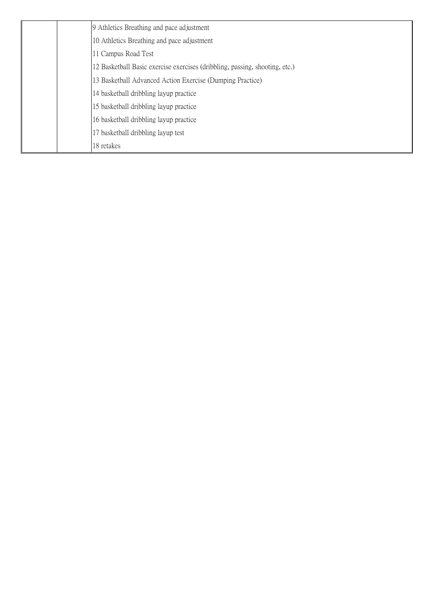| 9 Athletics Breathing and pace adjustment                                   |
|-----------------------------------------------------------------------------|
| 10 Athletics Breathing and pace adjustment                                  |
| 11 Campus Road Test                                                         |
| 12 Basketball Basic exercise exercises (dribbling, passing, shooting, etc.) |
| 13 Basketball Advanced Action Exercise (Dumping Practice)                   |
| 14 basketball dribbling layup practice                                      |
| 15 basketball dribbling layup practice                                      |
| 16 basketball dribbling layup practice                                      |
| 17 basketball dribbling layup test                                          |
| 18 retakes                                                                  |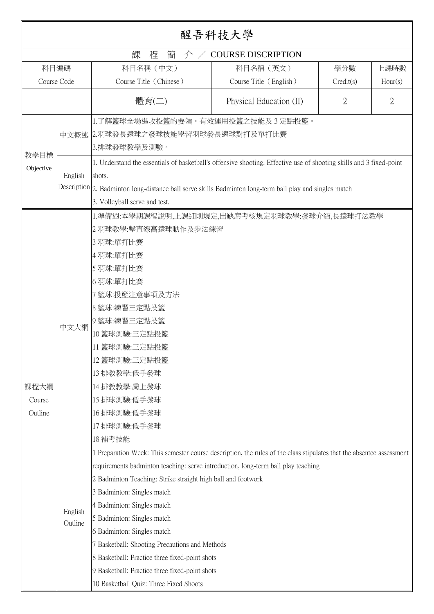| 醒吾科技大學                    |                                                |                                                                                                                                                                                                                                                                                                                                                                                                                                                                                                                                                                                                   |                         |                |                |  |  |
|---------------------------|------------------------------------------------|---------------------------------------------------------------------------------------------------------------------------------------------------------------------------------------------------------------------------------------------------------------------------------------------------------------------------------------------------------------------------------------------------------------------------------------------------------------------------------------------------------------------------------------------------------------------------------------------------|-------------------------|----------------|----------------|--|--|
|                           | 課<br>程<br>簡<br><b>COURSE DISCRIPTION</b><br>介/ |                                                                                                                                                                                                                                                                                                                                                                                                                                                                                                                                                                                                   |                         |                |                |  |  |
| 科目編碼                      |                                                | 科目名稱 (中文)                                                                                                                                                                                                                                                                                                                                                                                                                                                                                                                                                                                         | 科目名稱 (英文)               | 學分數            | 上課時數           |  |  |
| Course Code               |                                                | Course Title (Chinese)                                                                                                                                                                                                                                                                                                                                                                                                                                                                                                                                                                            | Course Title (English)  | Credit(s)      | Hour(s)        |  |  |
|                           |                                                | 體育(二)                                                                                                                                                                                                                                                                                                                                                                                                                                                                                                                                                                                             | Physical Education (II) | $\overline{2}$ | $\overline{2}$ |  |  |
| 教學目標                      |                                                | 1.了解籃球全場進攻投籃的要領。有效運用投籃之技能及 3 定點投籃。<br>中文概述 2.羽球發長遠球之發球技能學習羽球發長遠球對打及單打比賽<br> 3.排球發球教學及測驗。                                                                                                                                                                                                                                                                                                                                                                                                                                                                                                          |                         |                |                |  |  |
| Objective                 | English                                        | 1. Understand the essentials of basketball's offensive shooting. Effective use of shooting skills and 3 fixed-point<br>shots.<br>Description 2. Badminton long-distance ball serve skills Badminton long-term ball play and singles match<br>3. Volleyball serve and test.                                                                                                                                                                                                                                                                                                                        |                         |                |                |  |  |
| 課程大綱<br>Course<br>Outline | 中文大綱                                           | 1.準備週:本學期課程說明,上課細則規定,出缺席考核規定羽球教學:發球介紹,長遠球打法教學<br>2 羽球教學:擊直線高遠球動作及步法練習<br>3羽球:單打比賽<br>4 羽球:單打比賽<br>5 羽球:單打比賽<br>6羽球:單打比賽<br>7 籃球:投籃注意事項及方法<br>8 籃球:練習三定點投籃<br>9 籃球:練習三定點投籃<br>10 籃球測驗:三定點投籃<br>11 籃球測驗:三定點投籃<br>12 籃球測驗:三定點投籃<br>13 排教教學:低手發球<br>14排教教學:肩上發球<br>15 排球測驗:低手發球<br>16排球測驗:低手發球<br>17 排球測驗:低手發球<br>18 補考技能                                                                                                                                                                                                                                                                             |                         |                |                |  |  |
|                           | English<br>Outline                             | 1 Preparation Week: This semester course description, the rules of the class stipulates that the absentee assessment<br>requirements badminton teaching: serve introduction, long-term ball play teaching<br>2 Badminton Teaching: Strike straight high ball and footwork<br>3 Badminton: Singles match<br>4 Badminton: Singles match<br>5 Badminton: Singles match<br>6 Badminton: Singles match<br>7 Basketball: Shooting Precautions and Methods<br>8 Basketball: Practice three fixed-point shots<br>9 Basketball: Practice three fixed-point shots<br>10 Basketball Quiz: Three Fixed Shoots |                         |                |                |  |  |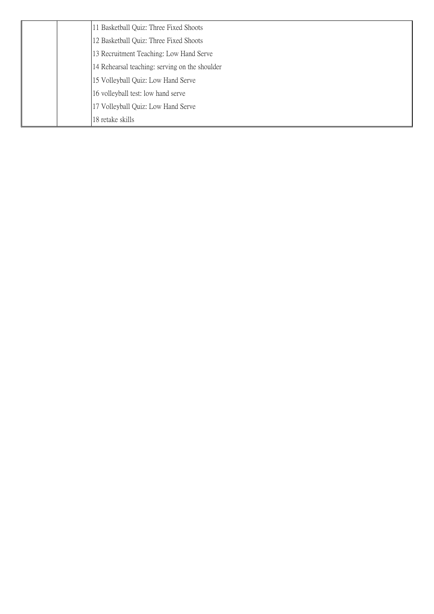|  | 11 Basketball Quiz: Three Fixed Shoots         |
|--|------------------------------------------------|
|  | 12 Basketball Quiz: Three Fixed Shoots         |
|  | 13 Recruitment Teaching: Low Hand Serve        |
|  | 14 Rehearsal teaching: serving on the shoulder |
|  | 15 Volleyball Quiz: Low Hand Serve             |
|  | 16 volleyball test: low hand serve             |
|  | 17 Volleyball Quiz: Low Hand Serve             |
|  | 18 retake skills                               |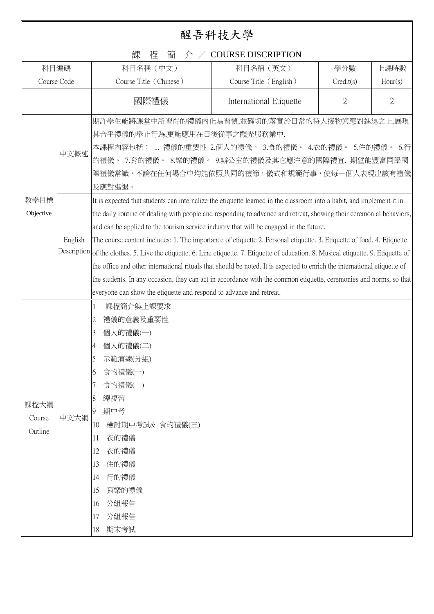|                           |                                               |                                                                                                                                                                                                                                                                                                                                                                                                                                                                                                                                                                                                                                                                                                                                                                                                                                                                                                                                                                                                                                                                                                                         | 醒吾科技大學                  |                |                |
|---------------------------|-----------------------------------------------|-------------------------------------------------------------------------------------------------------------------------------------------------------------------------------------------------------------------------------------------------------------------------------------------------------------------------------------------------------------------------------------------------------------------------------------------------------------------------------------------------------------------------------------------------------------------------------------------------------------------------------------------------------------------------------------------------------------------------------------------------------------------------------------------------------------------------------------------------------------------------------------------------------------------------------------------------------------------------------------------------------------------------------------------------------------------------------------------------------------------------|-------------------------|----------------|----------------|
|                           | 課<br><b>COURSE DISCRIPTION</b><br>程<br>簡<br>介 |                                                                                                                                                                                                                                                                                                                                                                                                                                                                                                                                                                                                                                                                                                                                                                                                                                                                                                                                                                                                                                                                                                                         |                         |                |                |
| 科目編碼                      |                                               | 科目名稱 (中文)                                                                                                                                                                                                                                                                                                                                                                                                                                                                                                                                                                                                                                                                                                                                                                                                                                                                                                                                                                                                                                                                                                               | 科目名稱 (英文)               | 學分數            | 上課時數           |
| Course Code               |                                               | Course Title (Chinese)                                                                                                                                                                                                                                                                                                                                                                                                                                                                                                                                                                                                                                                                                                                                                                                                                                                                                                                                                                                                                                                                                                  | Course Title (English)  | Credit(s)      | Hour(s)        |
|                           |                                               | 國際禮儀                                                                                                                                                                                                                                                                                                                                                                                                                                                                                                                                                                                                                                                                                                                                                                                                                                                                                                                                                                                                                                                                                                                    | International Etiquette | $\overline{2}$ | $\overline{2}$ |
| 教學目標<br>Objective         | 中文概述<br>English                               | 期許學生能將課堂中所習得的禮儀內化為習慣,並確切的落實於日常的待人接物與應對進退之上,展現<br>其合乎禮儀的舉止行為,更能應用在日後從事之觀光服務業中.<br>本課程內容包括: 1. 禮儀的重要性 2.個人的禮儀。 3.食的禮儀。 4.衣的禮儀。 5.住的禮儀。 6.行<br>的禮儀。 7.育的禮儀。 8.樂的禮儀。 9.辦公室的禮儀及其它應注意的國際禮宜. 期望能豐富同學國<br>際禮儀常識,不論在任何場合中均能依照共同的禮節,儀式和規範行事,使每一個人表現出該有禮儀<br>及應對進退。<br>It is expected that students can internalize the etiquette learned in the classroom into a habit, and implement it in<br>the daily routine of dealing with people and responding to advance and retreat, showing their ceremonial behaviors,<br>and can be applied to the tourism service industry that will be engaged in the future.<br>The course content includes: 1. The importance of etiquette 2. Personal etiquette. 3. Etiquette of food. 4. Etiquette<br>Description of the clothes. 5. Live the etiquette. 6. Line etiquette. 7. Etiquette of education. 8. Musical etiquette. 9. Etiquette of<br>the office and other international rituals that should be noted. It is expected to enrich the international etiquette of<br>the students. In any occasion, they can act in accordance with the common etiquette, ceremonies and norms, so that |                         |                |                |
| 課程大綱<br>Course<br>Outline | 中文大綱                                          | everyone can show the etiquette and respond to advance and retreat.<br>課程簡介與上課要求<br>1<br>禮儀的意義及重要性<br>2<br>個人的禮儀(一)<br>3<br>個人的禮儀(二)<br>示範演練(分組)<br>5<br>食的禮儀(一)<br>6<br>食的禮儀(二)<br>總複習<br>8<br>期中考<br>9<br>10<br>檢討期中考試& 食的禮儀(三)<br>衣的禮儀<br>11<br>12<br>衣的禮儀<br>13<br>住的禮儀<br>行的禮儀<br>14<br>育樂的禮儀<br>15<br>分組報告<br>16<br>分組報告<br>17<br>期末考試<br>18                                                                                                                                                                                                                                                                                                                                                                                                                                                                                                                                                                                                                                                                                                                                                                      |                         |                |                |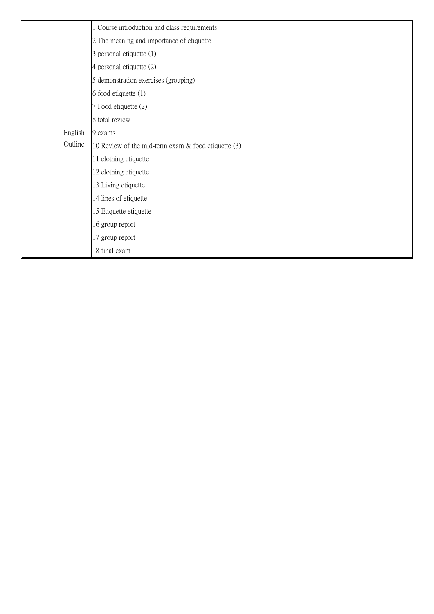|         | 1 Course introduction and class requirements           |
|---------|--------------------------------------------------------|
|         | 2 The meaning and importance of etiquette              |
|         | 3 personal etiquette (1)                               |
|         | 4 personal etiquette (2)                               |
|         | 5 demonstration exercises (grouping)                   |
|         | 6 food etiquette (1)                                   |
|         | 7 Food etiquette (2)                                   |
|         | 8 total review                                         |
| English | 9 exams                                                |
| Outline | 10 Review of the mid-term exam $\&$ food etiquette (3) |
|         | 11 clothing etiquette                                  |
|         | 12 clothing etiquette                                  |
|         | 13 Living etiquette                                    |
|         | 14 lines of etiquette                                  |
|         | 15 Etiquette etiquette                                 |
|         | 16 group report                                        |
|         | 17 group report                                        |
|         | 18 final exam                                          |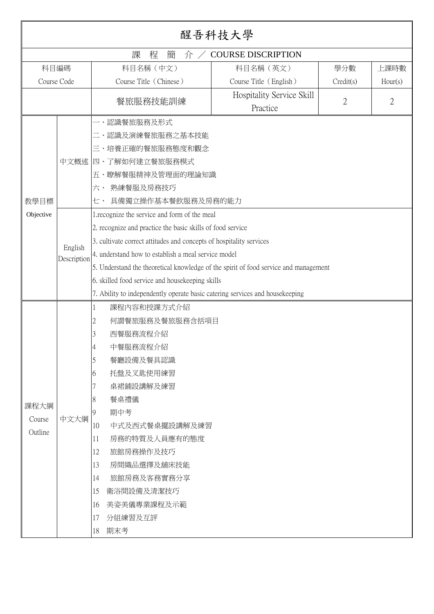|             |                                               |                                                                                      | 醒吾科技大學                                |           |                |  |
|-------------|-----------------------------------------------|--------------------------------------------------------------------------------------|---------------------------------------|-----------|----------------|--|
|             | <b>COURSE DISCRIPTION</b><br>課<br>程<br>簡<br>介 |                                                                                      |                                       |           |                |  |
| 科目編碼        |                                               | 科目名稱 (中文)                                                                            | 科目名稱 (英文)                             | 學分數       | 上課時數           |  |
| Course Code |                                               | Course Title (Chinese)                                                               | Course Title (English)                | Credit(s) | Hour(s)        |  |
|             |                                               | 餐旅服務技能訓練                                                                             | Hospitality Service Skill<br>Practice | 2         | $\overline{2}$ |  |
|             |                                               | 認識餐旅服務及形式                                                                            |                                       |           |                |  |
|             |                                               | 二、認識及演練餐旅服務之基本技能                                                                     |                                       |           |                |  |
|             |                                               | 三、培養正確的餐旅服務態度和觀念                                                                     |                                       |           |                |  |
|             |                                               | 中文概述 四、了解如何建立餐旅服務模式                                                                  |                                       |           |                |  |
|             |                                               | 五、瞭解餐服精神及管理面的理論知識                                                                    |                                       |           |                |  |
|             |                                               | 熟練餐服及房務技巧<br>六、                                                                      |                                       |           |                |  |
| 教學目標        |                                               | 具備獨立操作基本餐飲服務及房務的能力<br>七、                                                             |                                       |           |                |  |
| Objective   |                                               | 1. recognize the service and form of the meal                                        |                                       |           |                |  |
|             |                                               | 2. recognize and practice the basic skills of food service                           |                                       |           |                |  |
|             |                                               | 3. cultivate correct attitudes and concepts of hospitality services                  |                                       |           |                |  |
|             | English                                       | 4. understand how to establish a meal service model                                  |                                       |           |                |  |
|             | Description                                   | 5. Understand the theoretical knowledge of the spirit of food service and management |                                       |           |                |  |
|             |                                               | 6. skilled food service and housekeeping skills                                      |                                       |           |                |  |
|             |                                               | 7. Ability to independently operate basic catering services and housekeeping         |                                       |           |                |  |
|             |                                               | 課程內容和授課方式介紹                                                                          |                                       |           |                |  |
|             |                                               | 何謂餐旅服務及餐旅服務含括項目<br>2                                                                 |                                       |           |                |  |
|             |                                               | 西餐服務流程介紹<br>3                                                                        |                                       |           |                |  |
|             |                                               | 中餐服務流程介紹<br>4                                                                        |                                       |           |                |  |
|             |                                               | 5<br>餐廳設備及餐具認識                                                                       |                                       |           |                |  |
|             |                                               | 6<br>托盤及叉匙使用練習                                                                       |                                       |           |                |  |
|             |                                               | 桌裙鋪設講解及練習                                                                            |                                       |           |                |  |
|             |                                               | 餐桌禮儀<br>8                                                                            |                                       |           |                |  |
| 課程大綱        |                                               | 期中考<br>9                                                                             |                                       |           |                |  |
| Course      | 中文大綱                                          | 10<br>中式及西式餐桌擺設講解及練習                                                                 |                                       |           |                |  |
| Outline     |                                               | 房務的特質及人員應有的態度<br>11                                                                  |                                       |           |                |  |
|             |                                               | 12<br>旅館房務操作及技巧                                                                      |                                       |           |                |  |
|             |                                               | 13<br>房間織品選擇及舖床技能                                                                    |                                       |           |                |  |
|             |                                               | 旅館房務及客務實務分享<br>14                                                                    |                                       |           |                |  |
|             |                                               | 衛浴間設備及清潔技巧<br>15                                                                     |                                       |           |                |  |
|             |                                               | 美姿美儀專業課程及示範<br>16                                                                    |                                       |           |                |  |
|             |                                               | 17<br>分組練習及互評                                                                        |                                       |           |                |  |
|             |                                               | 期末考<br>18                                                                            |                                       |           |                |  |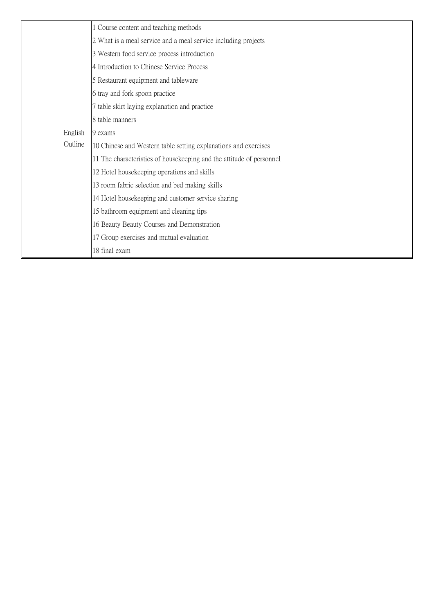|         | 1 Course content and teaching methods                                |
|---------|----------------------------------------------------------------------|
|         | 2 What is a meal service and a meal service including projects       |
|         | 3 Western food service process introduction                          |
|         | 4 Introduction to Chinese Service Process                            |
|         | 5 Restaurant equipment and tableware                                 |
|         | 6 tray and fork spoon practice                                       |
|         | 7 table skirt laying explanation and practice                        |
|         | 8 table manners                                                      |
| English | 9 exams                                                              |
| Outline | 10 Chinese and Western table setting explanations and exercises      |
|         | 11 The characteristics of housekeeping and the attitude of personnel |
|         | 12 Hotel housekeeping operations and skills                          |
|         | 13 room fabric selection and bed making skills                       |
|         | 14 Hotel housekeeping and customer service sharing                   |
|         | 15 bathroom equipment and cleaning tips                              |
|         | 16 Beauty Beauty Courses and Demonstration                           |
|         | 17 Group exercises and mutual evaluation                             |
|         | 18 final exam                                                        |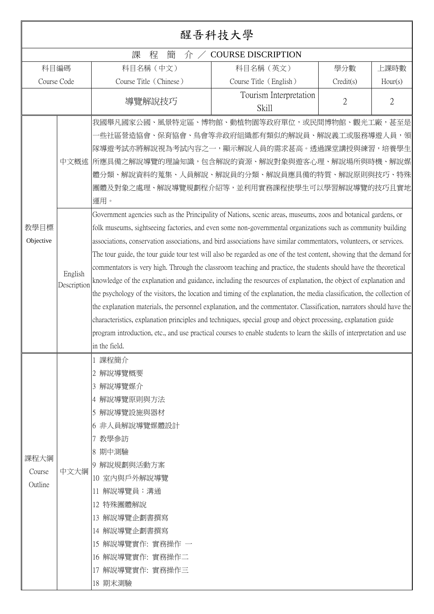|                           |                                |                                                                                                                                                                                                                                                                                                                                                                                                                                                                                                                                                                                                                                                                                                                                                                                                                                                                                                                                                                                                                                                                                                                                                                                                                                                                                                                                                                                                                                                                                                                                 | 醒吾科技大學                          |           |                |
|---------------------------|--------------------------------|---------------------------------------------------------------------------------------------------------------------------------------------------------------------------------------------------------------------------------------------------------------------------------------------------------------------------------------------------------------------------------------------------------------------------------------------------------------------------------------------------------------------------------------------------------------------------------------------------------------------------------------------------------------------------------------------------------------------------------------------------------------------------------------------------------------------------------------------------------------------------------------------------------------------------------------------------------------------------------------------------------------------------------------------------------------------------------------------------------------------------------------------------------------------------------------------------------------------------------------------------------------------------------------------------------------------------------------------------------------------------------------------------------------------------------------------------------------------------------------------------------------------------------|---------------------------------|-----------|----------------|
|                           |                                | 課<br>程<br>簡<br>介/                                                                                                                                                                                                                                                                                                                                                                                                                                                                                                                                                                                                                                                                                                                                                                                                                                                                                                                                                                                                                                                                                                                                                                                                                                                                                                                                                                                                                                                                                                               | <b>COURSE DISCRIPTION</b>       |           |                |
| 科目編碼                      |                                | 科目名稱 (中文)                                                                                                                                                                                                                                                                                                                                                                                                                                                                                                                                                                                                                                                                                                                                                                                                                                                                                                                                                                                                                                                                                                                                                                                                                                                                                                                                                                                                                                                                                                                       | 科目名稱 (英文)                       | 學分數       | 上課時數           |
| Course Code               |                                | Course Title (Chinese)                                                                                                                                                                                                                                                                                                                                                                                                                                                                                                                                                                                                                                                                                                                                                                                                                                                                                                                                                                                                                                                                                                                                                                                                                                                                                                                                                                                                                                                                                                          | Course Title (English)          | Credit(s) | Hour(s)        |
|                           |                                | 導覽解說技巧                                                                                                                                                                                                                                                                                                                                                                                                                                                                                                                                                                                                                                                                                                                                                                                                                                                                                                                                                                                                                                                                                                                                                                                                                                                                                                                                                                                                                                                                                                                          | Tourism Interpretation<br>Skill | 2         | $\overline{2}$ |
| 教學目標<br>Objective         | 中文概述<br>English<br>Description | 我國舉凡國家公國、風景特定區、博物館、動植物園等政府單位,或民間博物館、觀光工廠,甚至是<br>·些社區營造協會、保育協會、鳥會等非政府組織都有類似的解說員、解說義工或服務導遊人員,領 <br>隊導遊考試亦將解說視為考試內容之一,顯示解說人員的需求甚高。透過課堂講授與練習,培養學生<br> 所應具備之解說導覽的理論知識,包含解說的資源、解說對象與遊客心理、解說場所與時機、解說媒 <br>體分類、解說資料的蒐集、人員解說、解說員的分類、解說員應具備的特質、解說原則與技巧、特殊<br>團體及對象之處理、解說導覽規劃程介紹等,並利用實務課程使學生可以學習解說導覽的技巧且實地<br>運用。<br>Government agencies such as the Principality of Nations, scenic areas, museums, zoos and botanical gardens, or<br>folk museums, sightseeing factories, and even some non-governmental organizations such as community building<br>associations, conservation associations, and bird associations have similar commentators, volunteers, or services.<br>The tour guide, the tour guide tour test will also be regarded as one of the test content, showing that the demand for<br>commentators is very high. Through the classroom teaching and practice, the students should have the theoretical<br>knowledge of the explanation and guidance, including the resources of explanation, the object of explanation and<br>the psychology of the visitors, the location and timing of the explanation, the media classification, the collection of<br>the explanation materials, the personnel explanation, and the commentator. Classification, narrators should have the<br>characteristics, explanation principles and techniques, special group and object processing, explanation guide<br>program introduction, etc., and use practical courses to enable students to learn the skills of interpretation and use |                                 |           |                |
| 課程大綱<br>Course<br>Outline | 中文大綱                           | in the field.<br>1 課程簡介<br>2 解說導覽概要<br>3 解說導覽媒介<br>4 解說導覽原則與方法<br>5 解說導覽設施與器材<br>6 非人員解說導覽媒體設計<br>7 教學參訪<br>8 期中測驗<br>9 解說規劃與活動方案<br>10 室内與戶外解說導覽<br>11 解說導覽員:溝通<br>12 特殊團體解說<br>13 解說導覽企劃書撰寫<br>14 解說導覽企劃書撰寫<br>15 解說導覽實作: 實務操作 一<br>16 解說導覽實作: 實務操作二<br>17 解說導覽實作: 實務操作三<br>18 期末測驗                                                                                                                                                                                                                                                                                                                                                                                                                                                                                                                                                                                                                                                                                                                                                                                                                                                                                                                                                                                                                                                                                                                                                                                                                                           |                                 |           |                |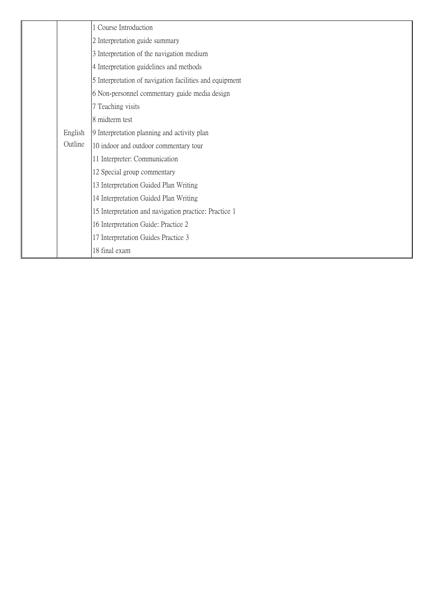|  |         | 1 Course Introduction                                   |
|--|---------|---------------------------------------------------------|
|  |         | 2 Interpretation guide summary                          |
|  |         | 3 Interpretation of the navigation medium               |
|  |         | 4 Interpretation guidelines and methods                 |
|  |         | 5 Interpretation of navigation facilities and equipment |
|  |         | 6 Non-personnel commentary guide media design           |
|  |         | 7 Teaching visits                                       |
|  |         | 8 midterm test                                          |
|  | English | 9 Interpretation planning and activity plan             |
|  | Outline | 10 indoor and outdoor commentary tour                   |
|  |         | 11 Interpreter: Communication                           |
|  |         | 12 Special group commentary                             |
|  |         | 13 Interpretation Guided Plan Writing                   |
|  |         | 14 Interpretation Guided Plan Writing                   |
|  |         | 15 Interpretation and navigation practice: Practice 1   |
|  |         | 16 Interpretation Guide: Practice 2                     |
|  |         | 17 Interpretation Guides Practice 3                     |
|  |         | 18 final exam                                           |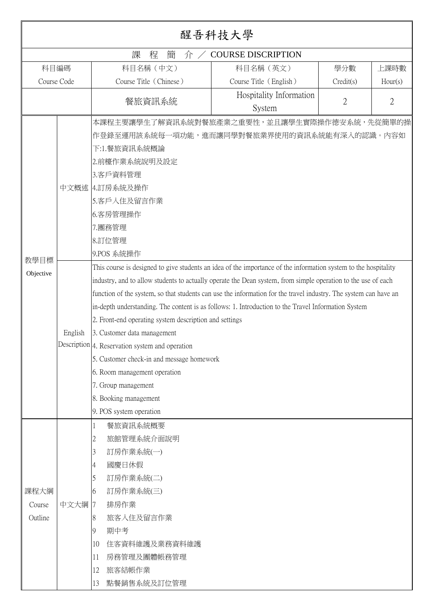|                           |         |                                                                                                                                                                                                                                                                                                                                                                                                                                                                                                                                                                                                                                                                                                                                                                 | 醒吾科技大學                            |                |                |
|---------------------------|---------|-----------------------------------------------------------------------------------------------------------------------------------------------------------------------------------------------------------------------------------------------------------------------------------------------------------------------------------------------------------------------------------------------------------------------------------------------------------------------------------------------------------------------------------------------------------------------------------------------------------------------------------------------------------------------------------------------------------------------------------------------------------------|-----------------------------------|----------------|----------------|
|                           |         | 課<br>程<br>簡<br>介/                                                                                                                                                                                                                                                                                                                                                                                                                                                                                                                                                                                                                                                                                                                                               | <b>COURSE DISCRIPTION</b>         |                |                |
| 科目編碼                      |         | 科目名稱 (中文)                                                                                                                                                                                                                                                                                                                                                                                                                                                                                                                                                                                                                                                                                                                                                       | 科目名稱 (英文)                         | 學分數            | 上課時數           |
| Course Code               |         | Course Title (Chinese)                                                                                                                                                                                                                                                                                                                                                                                                                                                                                                                                                                                                                                                                                                                                          | Course Title (English)            | Credit(s)      | Hour(s)        |
|                           |         | 餐旅資訊系統                                                                                                                                                                                                                                                                                                                                                                                                                                                                                                                                                                                                                                                                                                                                                          | Hospitality Information<br>System | $\overline{2}$ | $\overline{2}$ |
|                           |         | 本課程主要讓學生了解資訊系統對餐旅產業之重要性,並且讓學生實際操作德安系統,先從簡單的操<br>作登錄至運用該系統每一項功能,進而讓同學對餐旅業界使用的資訊系統能有深入的認識。內容如<br>下:1.餐旅資訊系統概論<br>2.前檯作業系統說明及設定<br>3.客戶資料管理<br>中文概述 4.訂房系統及操作<br>5.客戶入住及留言作業<br>6.客房管理操作<br>7.團務管理<br>8.訂位管理                                                                                                                                                                                                                                                                                                                                                                                                                                                                                                                                                       |                                   |                |                |
|                           |         | 9.POS 系統操作                                                                                                                                                                                                                                                                                                                                                                                                                                                                                                                                                                                                                                                                                                                                                      |                                   |                |                |
| 教學目標<br>Objective         | English | This course is designed to give students an idea of the importance of the information system to the hospitality<br>industry, and to allow students to actually operate the Dean system, from simple operation to the use of each<br>function of the system, so that students can use the information for the travel industry. The system can have an<br>in-depth understanding. The content is as follows: 1. Introduction to the Travel Information System<br>2. Front-end operating system description and settings<br>3. Customer data management<br>Description 4. Reservation system and operation<br>5. Customer check-in and message homework<br>6. Room management operation<br>7. Group management<br>8. Booking management<br>9. POS system operation |                                   |                |                |
| 課程大綱<br>Course<br>Outline | 中文大綱    | 餐旅資訊系統概要<br>旅館管理系統介面說明<br>2<br>訂房作業系統(一)<br>3<br>國慶日休假<br>4<br>訂房作業系統(二)<br>5<br>訂房作業系統(三)<br>6<br>排房作業<br>7<br>旅客入住及留言作業<br>8<br>期中考<br>9<br>住客資料維護及業務資料維護<br>10<br>房務管理及團體帳務管理<br>11<br>12<br>旅客結帳作業<br>13<br>點餐銷售系統及訂位管理                                                                                                                                                                                                                                                                                                                                                                                                                                                                                                                                     |                                   |                |                |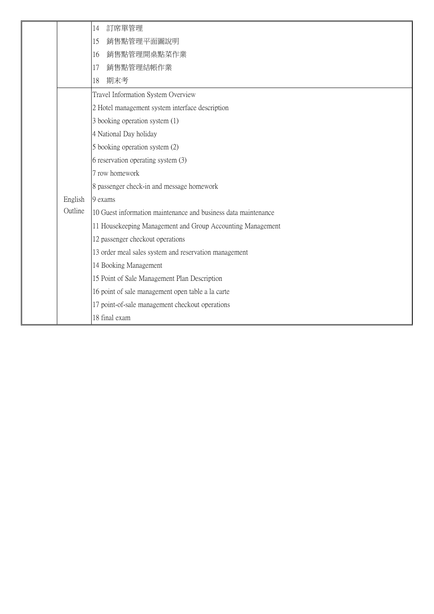|         | 訂席單管理<br>14                                                    |
|---------|----------------------------------------------------------------|
|         | 銷售點管理平面圖說明<br>15                                               |
|         | 銷售點管理開桌點菜作業<br>16                                              |
|         | 銷售點管理結帳作業<br>17                                                |
|         | 期末考<br>18                                                      |
|         | Travel Information System Overview                             |
|         | 2 Hotel management system interface description                |
|         | 3 booking operation system (1)                                 |
|         | 4 National Day holiday                                         |
|         | 5 booking operation system (2)                                 |
|         | 6 reservation operating system (3)                             |
|         | 7 row homework                                                 |
|         | 8 passenger check-in and message homework                      |
| English | 9 exams                                                        |
| Outline | 10 Guest information maintenance and business data maintenance |
|         | 11 Housekeeping Management and Group Accounting Management     |
|         | 12 passenger checkout operations                               |
|         | 13 order meal sales system and reservation management          |
|         | 14 Booking Management                                          |
|         | 15 Point of Sale Management Plan Description                   |
|         | 16 point of sale management open table a la carte              |
|         | 17 point-of-sale management checkout operations                |
|         | 18 final exam                                                  |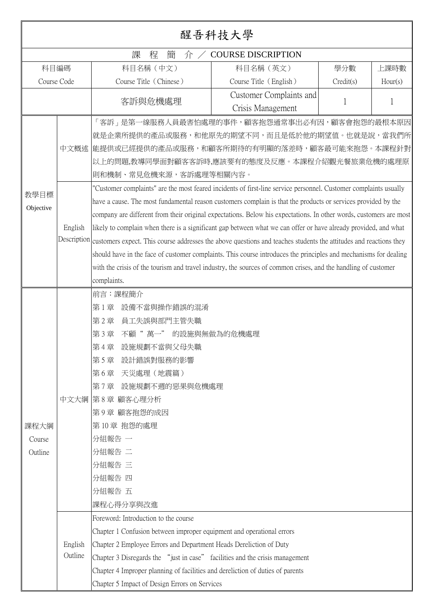|                           | 醒吾科技大學                                        |                                                                                                                                                                                                                                                                                                                                                                                                                                                                                                                                                                                                                                                                                                                                                                                                                                                                                                                                                                                                                                                                                                   |                                              |           |         |  |
|---------------------------|-----------------------------------------------|---------------------------------------------------------------------------------------------------------------------------------------------------------------------------------------------------------------------------------------------------------------------------------------------------------------------------------------------------------------------------------------------------------------------------------------------------------------------------------------------------------------------------------------------------------------------------------------------------------------------------------------------------------------------------------------------------------------------------------------------------------------------------------------------------------------------------------------------------------------------------------------------------------------------------------------------------------------------------------------------------------------------------------------------------------------------------------------------------|----------------------------------------------|-----------|---------|--|
|                           |                                               | 課<br>程<br>簡<br>介/                                                                                                                                                                                                                                                                                                                                                                                                                                                                                                                                                                                                                                                                                                                                                                                                                                                                                                                                                                                                                                                                                 | <b>COURSE DISCRIPTION</b>                    |           |         |  |
|                           | 科目名稱 (中文)<br>科目名稱 (英文)<br>科目編碼<br>學分數<br>上課時數 |                                                                                                                                                                                                                                                                                                                                                                                                                                                                                                                                                                                                                                                                                                                                                                                                                                                                                                                                                                                                                                                                                                   |                                              |           |         |  |
| Course Code               |                                               | Course Title (Chinese)                                                                                                                                                                                                                                                                                                                                                                                                                                                                                                                                                                                                                                                                                                                                                                                                                                                                                                                                                                                                                                                                            | Course Title (English)                       | Credit(s) | Hour(s) |  |
| 客訴與危機處理                   |                                               |                                                                                                                                                                                                                                                                                                                                                                                                                                                                                                                                                                                                                                                                                                                                                                                                                                                                                                                                                                                                                                                                                                   | Customer Complaints and<br>Crisis Management |           |         |  |
| 教學目標<br>Objective         | English                                       | 「客訴」是第一線服務人員最害怕處理的事件,顧客抱怨通常事出必有因,顧客會抱怨的最根本原因<br>就是企業所提供的產品或服務,和他原先的期望不同,而且是低於他的期望值。也就是說,當我們所<br>中文概述  能提供或已經提供的產品或服務,和顧客所期待的有明顯的落差時,顧客最可能來抱怨。本課程針對<br>以上的問題,教導同學面對顧客客訴時,應該要有的態度及反應。本課程介紹觀光餐旅業危機的處理原<br>則和機制、常見危機來源,客訴處理等相關內容。<br>'Customer complaints" are the most feared incidents of first-line service personnel. Customer complaints usually<br>have a cause. The most fundamental reason customers complain is that the products or services provided by the<br>company are different from their original expectations. Below his expectations. In other words, customers are most<br>likely to complain when there is a significant gap between what we can offer or have already provided, and what<br>Description customers expect. This course addresses the above questions and teaches students the attitudes and reactions they<br>should have in the face of customer complaints. This course introduces the principles and mechanisms for dealing<br>with the crisis of the tourism and travel industry, the sources of common crises, and the handling of customer<br>complaints. |                                              |           |         |  |
| 課程大綱<br>Course<br>Outline | 中文大綱<br>English<br>Outline                    | 前言:課程簡介<br>設備不當與操作錯誤的混淆<br>第1章<br>員工失誤與部門主管失職<br>第2章<br>不顧" 萬一"<br>第3章<br>設施規劃不當與父母失職<br>第4章<br>設計錯誤對服務的影響<br> 第5章<br>天災處理(地震篇)<br> 第6章<br>設施規劃不週的惡果與危機處理<br> 第7章 <br> 第8章 顧客心理分析<br> 第9章 顧客抱怨的成因<br>第10章 抱怨的處理<br>分組報告 一<br>分組報告 二<br>分組報告 三<br>分組報告 四<br>分組報告 五<br>課程心得分享與改進<br>Foreword: Introduction to the course<br>Chapter 1 Confusion between improper equipment and operational errors<br>Chapter 2 Employee Errors and Department Heads Dereliction of Duty<br>Chapter 3 Disregards the "just in case" facilities and the crisis management                                                                                                                                                                                                                                                                                                                                                                                                                                                                                                                                             | 的設施與無做為的危機處理                                 |           |         |  |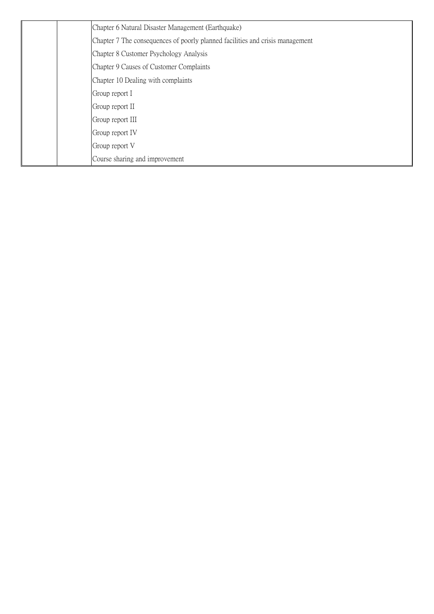| Chapter 6 Natural Disaster Management (Earthquake)                            |
|-------------------------------------------------------------------------------|
| Chapter 7 The consequences of poorly planned facilities and crisis management |
| Chapter 8 Customer Psychology Analysis                                        |
| Chapter 9 Causes of Customer Complaints                                       |
| Chapter 10 Dealing with complaints                                            |
| Group report I                                                                |
| Group report II                                                               |
| Group report III                                                              |
| Group report IV                                                               |
| Group report V                                                                |
| Course sharing and improvement                                                |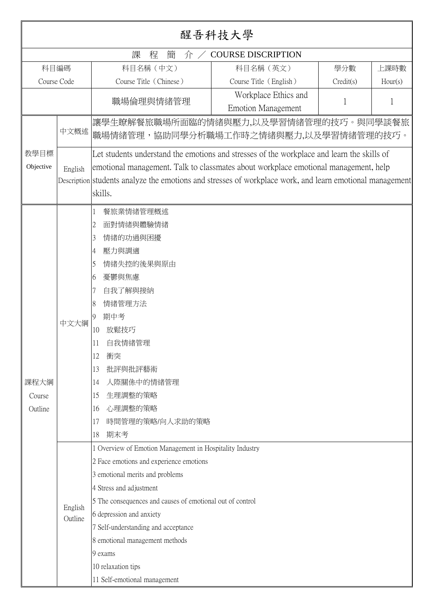|                           | 醒吾科技大學                                        |                                                                                                                                                                                                                                                                                                                                                                                                      |                                                   |           |         |
|---------------------------|-----------------------------------------------|------------------------------------------------------------------------------------------------------------------------------------------------------------------------------------------------------------------------------------------------------------------------------------------------------------------------------------------------------------------------------------------------------|---------------------------------------------------|-----------|---------|
|                           | 課<br>程<br>簡<br><b>COURSE DISCRIPTION</b><br>介 |                                                                                                                                                                                                                                                                                                                                                                                                      |                                                   |           |         |
| 科目編碼                      |                                               | 科目名稱 (中文)                                                                                                                                                                                                                                                                                                                                                                                            | 科目名稱 (英文)                                         | 學分數       | 上課時數    |
| Course Code               |                                               | Course Title (Chinese)                                                                                                                                                                                                                                                                                                                                                                               | Course Title (English)                            | Credit(s) | Hour(s) |
|                           |                                               | 職場倫理與情緒管理                                                                                                                                                                                                                                                                                                                                                                                            | Workplace Ethics and<br><b>Emotion Management</b> | 1         | 1       |
|                           | 中文概述                                          | 讓學生瞭解餐旅職場所面臨的情緒與壓力,以及學習情緒管理的技巧。與同學談餐旅<br>職場情緒管理,協助同學分析職場工作時之情緒與壓力,以及學習情緒管理的技巧。                                                                                                                                                                                                                                                                                                                       |                                                   |           |         |
| 教學目標<br>Objective         | English                                       | Let students understand the emotions and stresses of the workplace and learn the skills of<br>emotional management. Talk to classmates about workplace emotional management, help<br>Description students analyze the emotions and stresses of workplace work, and learn emotional management<br>skills.                                                                                             |                                                   |           |         |
| 課程大綱<br>Course<br>Outline | 中文大綱                                          | 餐旅業情緒管理概述<br>面對情緒與體驗情緒<br>2<br>情緒的功過與困擾<br>3<br>壓力與調適<br>4<br>情緒失控的後果與原由<br>5<br>憂鬱與焦慮<br>6<br>自我了解與接納<br>7<br>情緒管理方法<br>8<br>期中考<br>9<br>放鬆技巧<br>10<br>自我情緒管理<br>11<br>12<br>衝突<br>批評與批評藝術<br>13<br>人際關係中的情緒管理<br>14<br>生理調整的策略<br>15<br>心理調整的策略<br>16<br>時間管理的策略/向人求助的策略<br>17<br>期末考<br>18                                                                                                        |                                                   |           |         |
|                           | English<br>Outline                            | 1 Overview of Emotion Management in Hospitality Industry<br>2 Face emotions and experience emotions<br>3 emotional merits and problems<br>4 Stress and adjustment<br>5 The consequences and causes of emotional out of control<br>6 depression and anxiety<br>7 Self-understanding and acceptance<br>8 emotional management methods<br>9 exams<br>10 relaxation tips<br>11 Self-emotional management |                                                   |           |         |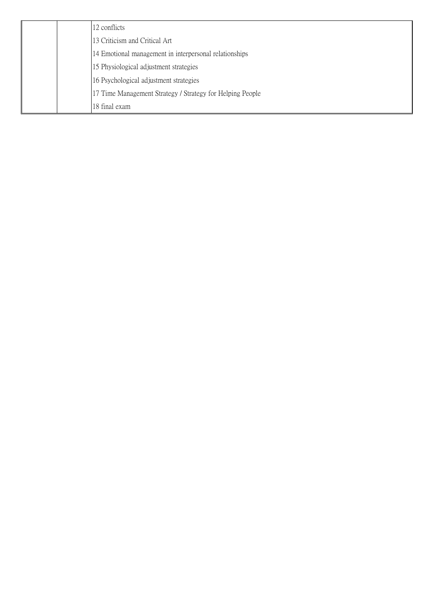|  | 12 conflicts                                              |
|--|-----------------------------------------------------------|
|  | 13 Criticism and Critical Art                             |
|  | 14 Emotional management in interpersonal relationships    |
|  | 15 Physiological adjustment strategies                    |
|  | 16 Psychological adjustment strategies                    |
|  | 17 Time Management Strategy / Strategy for Helping People |
|  | 18 final exam                                             |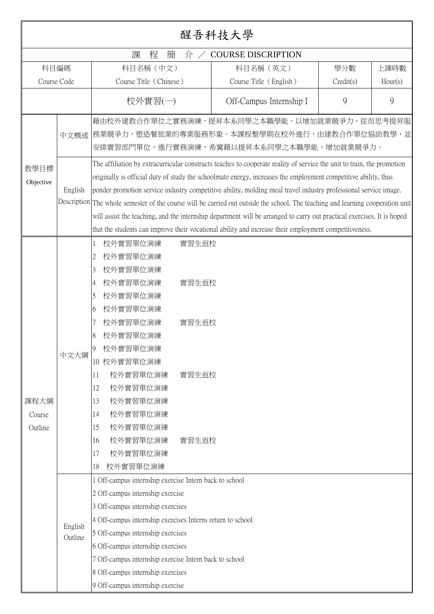|                           | 醒吾科技大學             |                                                                                                                                                                                                                                                                                                                                                                                                            |                                           |                                                                                                                                                                                                                                                                                                                                                                                                                                                                                                                                                                                                                                                                                                                                   |           |         |
|---------------------------|--------------------|------------------------------------------------------------------------------------------------------------------------------------------------------------------------------------------------------------------------------------------------------------------------------------------------------------------------------------------------------------------------------------------------------------|-------------------------------------------|-----------------------------------------------------------------------------------------------------------------------------------------------------------------------------------------------------------------------------------------------------------------------------------------------------------------------------------------------------------------------------------------------------------------------------------------------------------------------------------------------------------------------------------------------------------------------------------------------------------------------------------------------------------------------------------------------------------------------------------|-----------|---------|
|                           |                    | 課<br>程<br>簡                                                                                                                                                                                                                                                                                                                                                                                                | 介                                         | <b>COURSE DISCRIPTION</b>                                                                                                                                                                                                                                                                                                                                                                                                                                                                                                                                                                                                                                                                                                         |           |         |
|                           | 科目編碼               | 科目名稱 (中文)                                                                                                                                                                                                                                                                                                                                                                                                  |                                           | 科目名稱 (英文)                                                                                                                                                                                                                                                                                                                                                                                                                                                                                                                                                                                                                                                                                                                         | 學分數       | 上課時數    |
|                           | Course Code        | Course Title (Chinese)                                                                                                                                                                                                                                                                                                                                                                                     |                                           | Course Title (English)                                                                                                                                                                                                                                                                                                                                                                                                                                                                                                                                                                                                                                                                                                            | Credit(s) | Hour(s) |
|                           |                    | 校外實習(一)                                                                                                                                                                                                                                                                                                                                                                                                    |                                           | Off-Campus Internship I                                                                                                                                                                                                                                                                                                                                                                                                                                                                                                                                                                                                                                                                                                           | 9         | 9       |
|                           | 中文概述               |                                                                                                                                                                                                                                                                                                                                                                                                            |                                           | 藉由校外建教合作單位之實務演練,提昇本系同學之本職學能,以增加就業競爭力,從而思考提昇服<br> 務業競爭力,塑造餐旅業的專業服務形象。本課程整學期在校外進行,由建教合作單位協助教學,並<br>安排實習部門單位,進行實務演練,希冀藉以提昇本系同學之本職學能,增加就業競爭力。                                                                                                                                                                                                                                                                                                                                                                                                                                                                                                                                                                                         |           |         |
| 教學目標<br>Objective         | English            |                                                                                                                                                                                                                                                                                                                                                                                                            |                                           | The affiliation by extracurricular constructs teaches to cooperate reality of service the unit to train, the promotion<br>originally is official duty of study the schoolmate energy, increases the employment competitive ability, thus<br>ponder promotion service industry competitive ability, molding meal travel industry professional service image.<br>Description The whole semester of the course will be carried out outside the school. The teaching and learning cooperation unit<br>will assist the teaching, and the internship department will be arranged to carry out practical exercises. It is hoped<br>that the students can improve their vocational ability and increase their employment competitiveness. |           |         |
| 課程大綱<br>Course<br>Outline | 中文大綱               | 校外實習單位演練<br>1<br>校外實習單位演練<br>2<br>校外實習單位演練<br>3<br>校外實習單位演練<br>4<br>校外實習單位演練<br>5<br>校外實習單位演練<br>6<br>校外實習單位演練<br>校外實習單位演練<br>8<br>校外實習單位演練<br>9<br>10 校外實習單位演練<br>校外實習單位演練<br>11<br>校外實習單位演練<br>12<br>校外實習單位演練<br>13<br>校外實習單位演練<br>14<br>校外實習單位演練<br>15<br>校外實習單位演練<br>16<br>校外實習單位演練<br>17<br>校外實習單位演練<br>18                                                                                            | 實習生返校<br>實習生返校<br>實習生返校<br>實習生返校<br>實習生返校 |                                                                                                                                                                                                                                                                                                                                                                                                                                                                                                                                                                                                                                                                                                                                   |           |         |
|                           | English<br>Outline | 1 Off-campus internship exercise Intern back to school<br>2 Off-campus internship exercise<br>3 Off-campus internship exercises<br>4 Off-campus internship exercises Interns return to school<br>5 Off-campus internship exercises<br>6 Off-campus internship exercises<br>7 Off-campus internship exercise Intern back to school<br>8 Off-campus internship exercises<br>9 Off-campus internship exercise |                                           |                                                                                                                                                                                                                                                                                                                                                                                                                                                                                                                                                                                                                                                                                                                                   |           |         |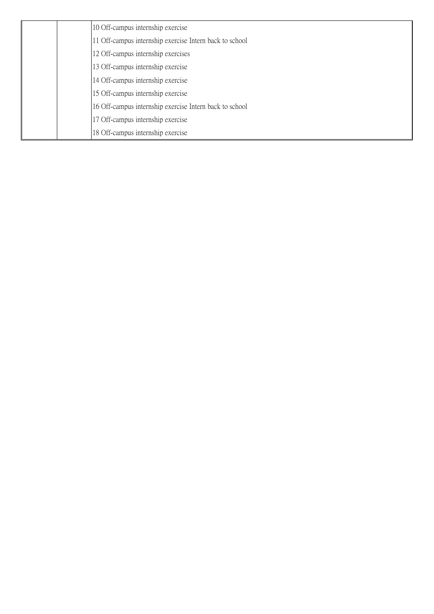| 10 Off-campus internship exercise                       |
|---------------------------------------------------------|
| 11 Off-campus internship exercise Intern back to school |
| 12 Off-campus internship exercises                      |
| 13 Off-campus internship exercise                       |
| 14 Off-campus internship exercise                       |
| 15 Off-campus internship exercise                       |
| 16 Off-campus internship exercise Intern back to school |
| 17 Off-campus internship exercise                       |
| 18 Off-campus internship exercise                       |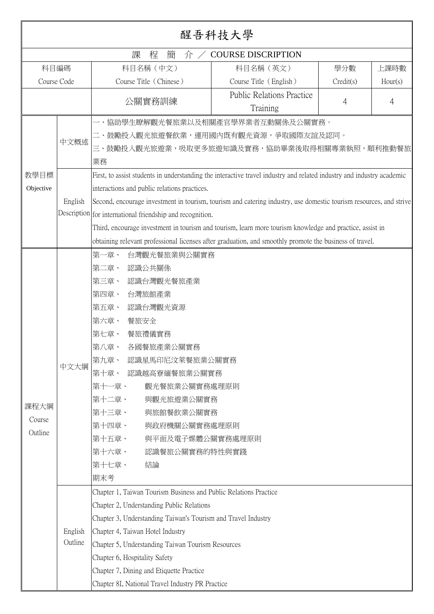|                           |                    |                                                                                                                                                                                                                                                                                                                                                                                                                                                                                                                                                                                                        | 醒吾科技大學                                       |           |         |
|---------------------------|--------------------|--------------------------------------------------------------------------------------------------------------------------------------------------------------------------------------------------------------------------------------------------------------------------------------------------------------------------------------------------------------------------------------------------------------------------------------------------------------------------------------------------------------------------------------------------------------------------------------------------------|----------------------------------------------|-----------|---------|
|                           |                    | 課<br>簡<br>程<br>介/                                                                                                                                                                                                                                                                                                                                                                                                                                                                                                                                                                                      | <b>COURSE DISCRIPTION</b>                    |           |         |
|                           | 科目編碼               | 科目名稱 (中文)                                                                                                                                                                                                                                                                                                                                                                                                                                                                                                                                                                                              | 科目名稱 (英文)                                    | 學分數       | 上課時數    |
|                           | Course Code        | Course Title (Chinese)                                                                                                                                                                                                                                                                                                                                                                                                                                                                                                                                                                                 | Course Title (English)                       | Credit(s) | Hour(s) |
|                           |                    | 公關實務訓練                                                                                                                                                                                                                                                                                                                                                                                                                                                                                                                                                                                                 | <b>Public Relations Practice</b><br>Training | 4         | 4       |
| 教學目標<br>Objective         | 中文概述<br>English    | 一、協助學生瞭解觀光餐旅業以及相關產官學界業者互動關係及公關實務。<br>二、鼓勵投入觀光旅遊餐飲業,運用國內既有觀光資源,爭取國際友誼及認同。<br>三、鼓勵投入觀光旅遊業,吸取更多旅遊知識及實務,協助畢業後取得相關專業執照,順利推動餐旅<br>業務<br>First, to assist students in understanding the interactive travel industry and related industry and industry academic<br>interactions and public relations practices.<br>Second, encourage investment in tourism, tourism and catering industry, use domestic tourism resources, and strive<br>Description for international friendship and recognition.<br>Third, encourage investment in tourism and tourism, learn more tourism knowledge and practice, assist in |                                              |           |         |
|                           |                    | obtaining relevant professional licenses after graduation, and smoothly promote the business of travel.<br>第一章、<br>台灣觀光餐旅業與公關實務                                                                                                                                                                                                                                                                                                                                                                                                                                                                        |                                              |           |         |
| 課程大綱<br>Course<br>Outline | 中文大綱               | 第二章、<br>認識公共關係<br>第三章、<br>認識台灣觀光餐旅產業<br>第四章、<br>台灣旅館產業<br>第五章、<br>認識台灣觀光資源<br>第六章、<br>餐旅安全<br>餐旅禮儀實務<br>第七章、<br>第八章、<br>各國餐旅產業公關實務<br>第九章、<br>認識星馬印尼汶萊餐旅業公關實務<br>第十章、<br>認識越高寮緬餐旅業公關實務<br>觀光餐旅業公關實務處理原則<br>第十一章、<br>第十二章、<br>與觀光旅遊業公關實務<br>第十三章、<br>與旅館餐飲業公關實務<br>第十四章、<br>與政府機關公關實務處理原則<br>第十五章、<br>與平面及電子媒體公關實務處理原則<br>第十六章、<br>認識餐旅公關實務的特性與實踐<br>第十七章、<br>結論<br>期末考                                                                                                                                                                                                                                 |                                              |           |         |
|                           | English<br>Outline | Chapter 1, Taiwan Tourism Business and Public Relations Practice<br>Chapter 2, Understanding Public Relations<br>Chapter 3, Understanding Taiwan's Tourism and Travel Industry<br>Chapter 4, Taiwan Hotel Industry<br>Chapter 5, Understanding Taiwan Tourism Resources<br>Chapter 6, Hospitality Safety<br>Chapter 7, Dining and Etiquette Practice<br>Chapter 8I, National Travel Industry PR Practice                                                                                                                                                                                               |                                              |           |         |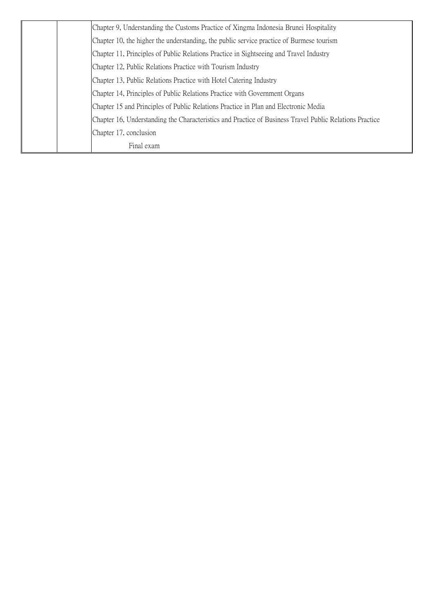| Final exam                                                                                              |
|---------------------------------------------------------------------------------------------------------|
| Chapter 17, conclusion                                                                                  |
| Chapter 16, Understanding the Characteristics and Practice of Business Travel Public Relations Practice |
| Chapter 15 and Principles of Public Relations Practice in Plan and Electronic Media                     |
| Chapter 14, Principles of Public Relations Practice with Government Organs                              |
| Chapter 13, Public Relations Practice with Hotel Catering Industry                                      |
| Chapter 12, Public Relations Practice with Tourism Industry                                             |
| Chapter 11, Principles of Public Relations Practice in Sightseeing and Travel Industry                  |
| Chapter 10, the higher the understanding, the public service practice of Burmese tourism                |
| Chapter 9, Understanding the Customs Practice of Xingma Indonesia Brunei Hospitality                    |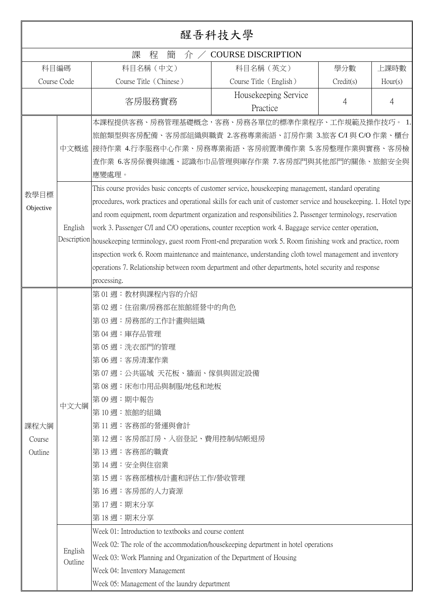|                                                                                                                                                                                                                                                                                                                                                                                                                                                                                                                                                                                                                                                                                                                                 |                 |                                                                                                                                                                                                                                                                                                                                                                                                                                                                                           | 醒吾科技大學                           |           |         |  |  |
|---------------------------------------------------------------------------------------------------------------------------------------------------------------------------------------------------------------------------------------------------------------------------------------------------------------------------------------------------------------------------------------------------------------------------------------------------------------------------------------------------------------------------------------------------------------------------------------------------------------------------------------------------------------------------------------------------------------------------------|-----------------|-------------------------------------------------------------------------------------------------------------------------------------------------------------------------------------------------------------------------------------------------------------------------------------------------------------------------------------------------------------------------------------------------------------------------------------------------------------------------------------------|----------------------------------|-----------|---------|--|--|
|                                                                                                                                                                                                                                                                                                                                                                                                                                                                                                                                                                                                                                                                                                                                 |                 | 課<br>程<br>簡<br>介/                                                                                                                                                                                                                                                                                                                                                                                                                                                                         | <b>COURSE DISCRIPTION</b>        |           |         |  |  |
| 科目編碼<br>科目名稱 (中文)<br>科目名稱 (英文)<br>學分數<br>上課時數                                                                                                                                                                                                                                                                                                                                                                                                                                                                                                                                                                                                                                                                                   |                 |                                                                                                                                                                                                                                                                                                                                                                                                                                                                                           |                                  |           |         |  |  |
| Course Code                                                                                                                                                                                                                                                                                                                                                                                                                                                                                                                                                                                                                                                                                                                     |                 | Course Title (Chinese)                                                                                                                                                                                                                                                                                                                                                                                                                                                                    | Course Title (English)           | Credit(s) | Hour(s) |  |  |
|                                                                                                                                                                                                                                                                                                                                                                                                                                                                                                                                                                                                                                                                                                                                 |                 | 客房服務實務                                                                                                                                                                                                                                                                                                                                                                                                                                                                                    | Housekeeping Service<br>Practice | 4         | 4       |  |  |
| 教學目標                                                                                                                                                                                                                                                                                                                                                                                                                                                                                                                                                                                                                                                                                                                            |                 | 本課程提供客務、房務管理基礎概念,客務、房務各單位的標準作業程序、工作規範及操作技巧。 1.<br>旅館類型與客房配備、客房部組織與職責 2.客務專業術語、訂房作業 3.旅客 C/I 與 C/O 作業、櫃台<br>中文概述  接待作業 4.行李服務中心作業、房務專業術語、客房前置準備作業 5.客房整理作業與實務、客房檢<br>查作業 6.客房保養與維護、認識布巾品管理與庫存作業 7.客房部門與其他部門的關係、旅館安全與<br>應變處理。<br>This course provides basic concepts of customer service, housekeeping management, standard operating                                                                                                                                                      |                                  |           |         |  |  |
| procedures, work practices and operational skills for each unit of customer service and housekeeping. 1. Hotel type<br>Objective<br>and room equipment, room department organization and responsibilities 2. Passenger terminology, reservation<br>English<br>work 3. Passenger C/I and C/O operations, counter reception work 4. Baggage service center operation,<br>Description housekeeping terminology, guest room Front-end preparation work 5. Room finishing work and practice, room<br>inspection work 6. Room maintenance and maintenance, understanding cloth towel management and inventory<br>operations 7. Relationship between room department and other departments, hotel security and response<br>processing. |                 |                                                                                                                                                                                                                                                                                                                                                                                                                                                                                           |                                  |           |         |  |  |
| 課程大綱<br>Course<br>Outline                                                                                                                                                                                                                                                                                                                                                                                                                                                                                                                                                                                                                                                                                                       | 中文大綱<br>English | 第01週:教材與課程內容的介紹<br>第02週:住宿業/房務部在旅館經營中的角色<br>第03週:房務部的工作計畫與組織<br>第04週:庫存品管理<br>第05週:洗衣部門的管理<br>第06週:客房清潔作業<br>第07週:公共區域 天花板、牆面、傢俱與固定設備<br>第08週:床布巾用品與制服/地毯和地板<br>第09週:期中報告<br>第10週:旅館的組織<br>第11週:客務部的營運與會計<br>第12週:客房部訂房、入宿登記、費用控制/結帳退房<br>第13週:客務部的職責<br>第14週:安全與住宿業<br>第15週:客務部稽核/計畫和評估工作/營收管理<br>第16週:客房部的人力資源<br>第17週:期末分享<br>第18週:期末分享<br>Week 01: Introduction to textbooks and course content<br>Week 02: The role of the accommodation/housekeeping department in hotel operations |                                  |           |         |  |  |
|                                                                                                                                                                                                                                                                                                                                                                                                                                                                                                                                                                                                                                                                                                                                 | Outline         | Week 03: Work Planning and Organization of the Department of Housing<br>Week 04: Inventory Management<br>Week 05: Management of the laundry department                                                                                                                                                                                                                                                                                                                                    |                                  |           |         |  |  |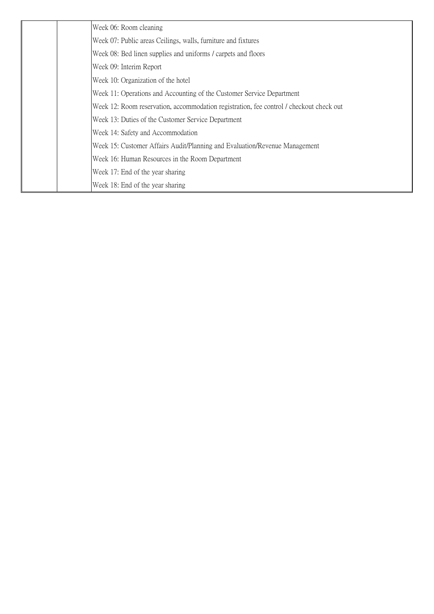| Week 06: Room cleaning                                                                  |
|-----------------------------------------------------------------------------------------|
| Week 07: Public areas Ceilings, walls, furniture and fixtures                           |
| Week 08: Bed linen supplies and uniforms / carpets and floors                           |
| Week 09: Interim Report                                                                 |
| Week 10: Organization of the hotel                                                      |
| Week 11: Operations and Accounting of the Customer Service Department                   |
| Week 12: Room reservation, accommodation registration, fee control / checkout check out |
| Week 13: Duties of the Customer Service Department                                      |
| Week 14: Safety and Accommodation                                                       |
| Week 15: Customer Affairs Audit/Planning and Evaluation/Revenue Management              |
| Week 16: Human Resources in the Room Department                                         |
| Week 17: End of the year sharing                                                        |
| Week 18: End of the year sharing                                                        |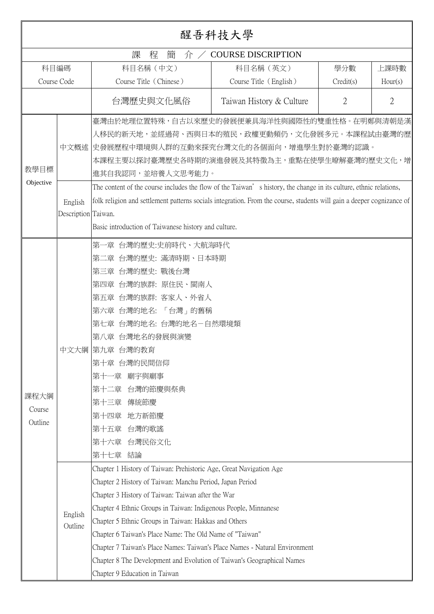|                           | 醒吾科技大學                                         |                                                                                                                                                                                                                                                                                                                                                                                                                                                                                                                                                                    |                          |                |                |  |
|---------------------------|------------------------------------------------|--------------------------------------------------------------------------------------------------------------------------------------------------------------------------------------------------------------------------------------------------------------------------------------------------------------------------------------------------------------------------------------------------------------------------------------------------------------------------------------------------------------------------------------------------------------------|--------------------------|----------------|----------------|--|
|                           | 課<br><b>COURSE DISCRIPTION</b><br>程<br>簡<br>介/ |                                                                                                                                                                                                                                                                                                                                                                                                                                                                                                                                                                    |                          |                |                |  |
| 科目編碼                      |                                                | 科目名稱 (中文)                                                                                                                                                                                                                                                                                                                                                                                                                                                                                                                                                          | 科目名稱 (英文)                | 學分數            | 上課時數           |  |
| Course Code               |                                                | Course Title (Chinese)                                                                                                                                                                                                                                                                                                                                                                                                                                                                                                                                             | Course Title (English)   | Credit(s)      | Hour(s)        |  |
|                           |                                                | 台灣歷史與文化風俗                                                                                                                                                                                                                                                                                                                                                                                                                                                                                                                                                          | Taiwan History & Culture | $\overline{2}$ | $\overline{2}$ |  |
| 教學目標<br>Objective         | 中文概述<br>English<br>Description Taiwan.         | 臺灣由於地理位置特殊,自古以來歷史的發展便兼具海洋性與國際性的雙重性格。在明鄭與清朝是漢<br>人移民的新天地,並經過荷、西與日本的殖民,政權更動頻仍,文化發展多元。本課程試由臺灣的歷<br>史發展歷程中環境與人群的互動來探究台灣文化的各個面向,增進學生對於臺灣的認識。<br>本課程主要以探討臺灣歷史各時期的演進發展及其特徵為主,重點在使學生暸解臺灣的歷史文化,增<br>進其自我認同,並培養人文思考能力。<br>The content of the course includes the flow of the Taiwan's history, the change in its culture, ethnic relations,<br>folk religion and settlement patterns socials integration. From the course, students will gain a deeper cognizance of<br>Basic introduction of Taiwanese history and culture.                                                 |                          |                |                |  |
| 課程大綱<br>Course<br>Outline |                                                | 第一章 台灣的歷史:史前時代、大航海時代<br>第二章 台灣的歷史: 滿清時期、日本時期<br>第三章 台灣的歷史: 戰後台灣<br>第四章 台灣的族群: 原住民、閩南人<br>第五章 台灣的族群: 客家人、外省人<br>第六章 台灣的地名:「台灣」的舊稱<br>第七章 台灣的地名: 台灣的地名-自然環境類<br>第八章 台灣地名的發展與演變<br>中文大綱 第九章 台灣的教育<br>第十章 台灣的民間信仰<br>廟宇與廟事<br>第十一章<br>台灣的節慶與祭典<br>第十二章<br>傳統節慶<br>第十三章<br>第十四章<br>地方新節慶<br>台灣的歌謠<br>第十五章<br>第十六章 台灣民俗文化<br>結論<br>第十七章                                                                                                                                                                                                                                  |                          |                |                |  |
|                           | English<br>Outline                             | Chapter 1 History of Taiwan: Prehistoric Age, Great Navigation Age<br>Chapter 2 History of Taiwan: Manchu Period, Japan Period<br>Chapter 3 History of Taiwan: Taiwan after the War<br>Chapter 4 Ethnic Groups in Taiwan: Indigenous People, Minnanese<br>Chapter 5 Ethnic Groups in Taiwan: Hakkas and Others<br>Chapter 6 Taiwan's Place Name: The Old Name of "Taiwan"<br>Chapter 7 Taiwan's Place Names: Taiwan's Place Names - Natural Environment<br>Chapter 8 The Development and Evolution of Taiwan's Geographical Names<br>Chapter 9 Education in Taiwan |                          |                |                |  |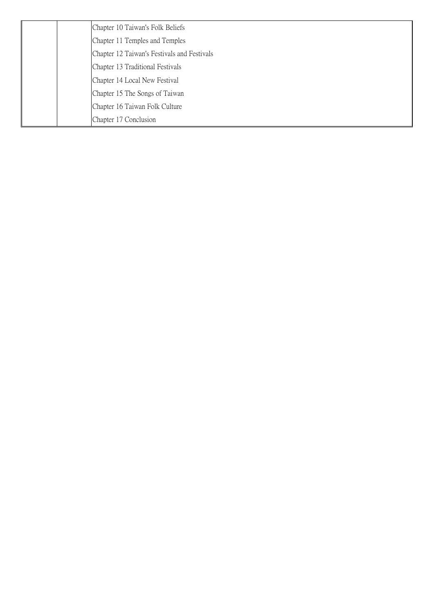| Chapter 10 Taiwan's Folk Beliefs            |
|---------------------------------------------|
| Chapter 11 Temples and Temples              |
| Chapter 12 Taiwan's Festivals and Festivals |
| Chapter 13 Traditional Festivals            |
| Chapter 14 Local New Festival               |
| Chapter 15 The Songs of Taiwan              |
| Chapter 16 Taiwan Folk Culture              |
| Chapter 17 Conclusion                       |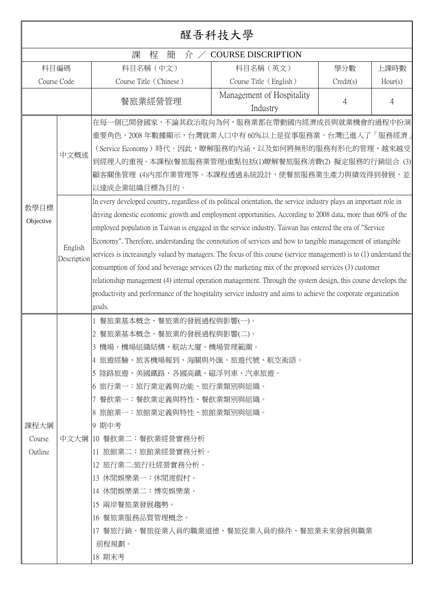| 醒吾科技大學                                        |                                |                                                                                                                                                                                                                                                                                                                                                                                                                                                                                                                                                                                                                                                                                                                                                                                                                                                                                                                                                                                                                                                                                                                                                                                                                              |                                       |           |         |  |  |
|-----------------------------------------------|--------------------------------|------------------------------------------------------------------------------------------------------------------------------------------------------------------------------------------------------------------------------------------------------------------------------------------------------------------------------------------------------------------------------------------------------------------------------------------------------------------------------------------------------------------------------------------------------------------------------------------------------------------------------------------------------------------------------------------------------------------------------------------------------------------------------------------------------------------------------------------------------------------------------------------------------------------------------------------------------------------------------------------------------------------------------------------------------------------------------------------------------------------------------------------------------------------------------------------------------------------------------|---------------------------------------|-----------|---------|--|--|
| 課<br><b>COURSE DISCRIPTION</b><br>程<br>簡<br>介 |                                |                                                                                                                                                                                                                                                                                                                                                                                                                                                                                                                                                                                                                                                                                                                                                                                                                                                                                                                                                                                                                                                                                                                                                                                                                              |                                       |           |         |  |  |
| 科目編碼                                          |                                | 科目名稱 (中文)                                                                                                                                                                                                                                                                                                                                                                                                                                                                                                                                                                                                                                                                                                                                                                                                                                                                                                                                                                                                                                                                                                                                                                                                                    | 科目名稱 (英文)                             | 學分數       | 上課時數    |  |  |
| Course Code                                   |                                | Course Title (Chinese)                                                                                                                                                                                                                                                                                                                                                                                                                                                                                                                                                                                                                                                                                                                                                                                                                                                                                                                                                                                                                                                                                                                                                                                                       | Course Title (English)                | Credit(s) | Hour(s) |  |  |
|                                               |                                | 餐旅業經營管理                                                                                                                                                                                                                                                                                                                                                                                                                                                                                                                                                                                                                                                                                                                                                                                                                                                                                                                                                                                                                                                                                                                                                                                                                      | Management of Hospitality<br>Industry | 4         | 4       |  |  |
| 教學目標<br>Objective                             | 中文概述<br>English<br>Description | 在每一個已開發國家,不論其政治取向為何,服務業都在帶動國內經濟成長與就業機會的過程中扮演<br>重要角色,2008 年數據顯示,台灣就業人口中有 60%以上是從事服務業。台灣已進入了「服務經濟」<br>(Service Economy)時代。因此,瞭解服務的內涵,以及如何將無形的服務有形化的管理,越來越受<br>到經理人的重視。本課程(餐旅服務業管理)重點包括(1)瞭解餐旅服務消費(2) 擬定服務的行銷組合 (3)<br>顧客關係管理 (4)内部作業管理等。本課程透過系統設計,使餐旅服務業生產力與績效得到發展,並<br>以達成企業組織目標為目的。<br>In every developed country, regardless of its political orientation, the service industry plays an important role in<br>driving domestic economic growth and employment opportunities. According to 2008 data, more than 60% of the<br>employed population in Taiwan is engaged in the service industry. Taiwan has entered the era of "Service"<br>Economy". Therefore, understanding the connotation of services and how to tangible management of intangible<br>services is increasingly valued by managers. The focus of this course (service management) is to (1) understand the<br>consumption of food and beverage services (2) the marketing mix of the proposed services (3) customer<br>relationship management (4) internal operation management. Through the system design, this course develops the<br>productivity and performance of the hospitality service industry and aims to achieve the corporate organization |                                       |           |         |  |  |
| 課程大綱<br>Course<br>Outline                     |                                | goals.<br>餐旅業基本概念、餐旅業的發展過程與影響(一)。<br>餐旅業基本概念、餐旅業的發展過程與影響(二)。<br>3 機場、機場組織結構、航站大廈、機場管理範圍<br> 4 旅遊經驗、旅客機場報到、海關與外匯、旅遊代號、航空術語。<br> 5 陸路旅遊、美國鐵路、各國高鐵、磁浮列車、汽車旅遊。<br> 6 旅行業一:旅行業定義與功能、旅行業類別與組織。<br> 7 餐飲業一:餐飲業定義與特性、餐飲業類別與組織。<br> 8 旅館業一:旅館業定義與特性、旅館業類別與組織。<br>9 期中考<br>中文大綱  10 餐飲業二:餐飲業經營實務分析<br> 11 旅館業二:旅館業經營實務分析。<br> 12 旅行業二:旅行社經營實務分析。<br> 13 休閒娛樂業一:休閒渡假村。<br>14 休閒娛樂業二:博奕娛樂業。<br>15 兩岸餐旅業發展趨勢。<br>16 餐旅業服務品質管理概念。<br> 17 餐旅行銷、餐旅從業人員的職業道德、餐旅從業人員的條件、餐旅業未來發展與職業<br>前程規劃。<br>18 期末考                                                                                                                                                                                                                                                                                                                                                                                                                                                                                                                                                                                                                                                                                                                                          |                                       |           |         |  |  |